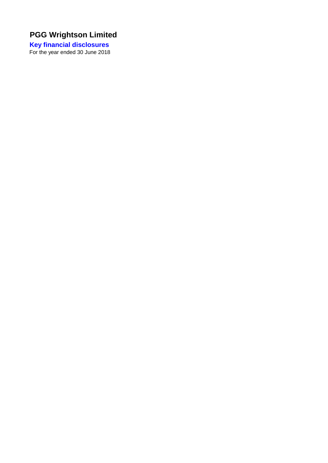**Key financial disclosures**  For the year ended 30 June 2018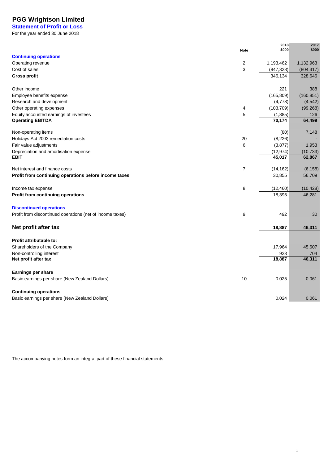**Statement of Profit or Loss** For the year ended 30 June 2018

|                                                                   | <b>Note</b>    | 2018<br>\$000     | 2017<br>\$000 |
|-------------------------------------------------------------------|----------------|-------------------|---------------|
| <b>Continuing operations</b>                                      |                |                   |               |
| Operating revenue                                                 | $\overline{c}$ | 1,193,462         | 1,132,963     |
| Cost of sales                                                     | 3              | (847, 328)        | (804, 317)    |
| <b>Gross profit</b>                                               |                | 346,134           | 328,646       |
|                                                                   |                |                   |               |
| Other income                                                      |                | 221               | 388           |
| Employee benefits expense                                         |                | (165, 809)        | (160, 851)    |
| Research and development                                          |                | (4,778)           | (4, 542)      |
| Other operating expenses                                          | 4              | (103, 709)        | (99, 268)     |
| Equity accounted earnings of investees<br><b>Operating EBITDA</b> | 5              | (1,885)<br>70,174 | 126<br>64,499 |
|                                                                   |                |                   |               |
| Non-operating items                                               |                | (80)              | 7,148         |
| Holidays Act 2003 remediation costs                               | 20             | (8, 226)          |               |
| Fair value adjustments                                            | 6              | (3, 877)          | 1,953         |
| Depreciation and amortisation expense                             |                | (12, 974)         | (10, 733)     |
| <b>EBIT</b>                                                       |                | 45,017            | 62,867        |
| Net interest and finance costs                                    | 7              | (14, 162)         | (6, 158)      |
| Profit from continuing operations before income taxes             |                | 30,855            | 56,709        |
|                                                                   |                |                   |               |
| Income tax expense                                                | 8              | (12, 460)         | (10, 428)     |
| Profit from continuing operations                                 |                | 18,395            | 46,281        |
| <b>Discontinued operations</b>                                    |                |                   |               |
| Profit from discontinued operations (net of income taxes)         | 9              | 492               | 30            |
|                                                                   |                |                   |               |
| Net profit after tax                                              |                | 18,887            | 46,311        |
|                                                                   |                |                   |               |
| Profit attributable to:                                           |                |                   |               |
| Shareholders of the Company                                       |                | 17,964<br>923     | 45,607        |
| Non-controlling interest<br>Net profit after tax                  |                | 18,887            | 704<br>46,311 |
|                                                                   |                |                   |               |
| Earnings per share                                                |                |                   |               |
| Basic earnings per share (New Zealand Dollars)                    | 10             | 0.025             | 0.061         |
|                                                                   |                |                   |               |
| <b>Continuing operations</b>                                      |                |                   |               |
| Basic earnings per share (New Zealand Dollars)                    |                | 0.024             | 0.061         |

The accompanying notes form an integral part of these financial statements.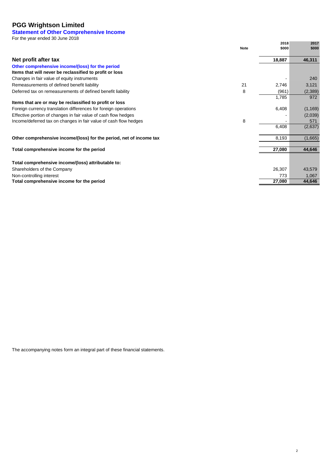## **Statement of Other Comprehensive Income**

For the year ended 30 June 2018

|                                                                     |             | 2018   | 2017     |
|---------------------------------------------------------------------|-------------|--------|----------|
|                                                                     | <b>Note</b> | \$000  | \$000    |
| Net profit after tax                                                |             | 18,887 | 46,311   |
| Other comprehensive income/(loss) for the period                    |             |        |          |
| Items that will never be reclassified to profit or loss             |             |        |          |
| Changes in fair value of equity instruments                         |             |        | 240      |
| Remeasurements of defined benefit liability                         | 21          | 2,746  | 3,121    |
| Deferred tax on remeasurements of defined benefit liability         | 8           | (961)  | (2,389)  |
|                                                                     |             | 1,785  | 972      |
| Items that are or may be reclassified to profit or loss             |             |        |          |
| Foreign currency translation differences for foreign operations     |             | 6,408  | (1, 169) |
| Effective portion of changes in fair value of cash flow hedges      |             |        | (2,039)  |
| Income/deferred tax on changes in fair value of cash flow hedges    | 8           |        | 571      |
|                                                                     |             | 6,408  | (2,637)  |
| Other comprehensive income/(loss) for the period, net of income tax |             | 8,193  | (1,665)  |
|                                                                     |             |        |          |
| Total comprehensive income for the period                           |             | 27,080 | 44,646   |
|                                                                     |             |        |          |
| Total comprehensive income/(loss) attributable to:                  |             |        |          |
| Shareholders of the Company                                         |             | 26,307 | 43,579   |
| Non-controlling interest                                            |             | 773    | 1,067    |
| Total comprehensive income for the period                           |             | 27,080 | 44,646   |

The accompanying notes form an integral part of these financial statements.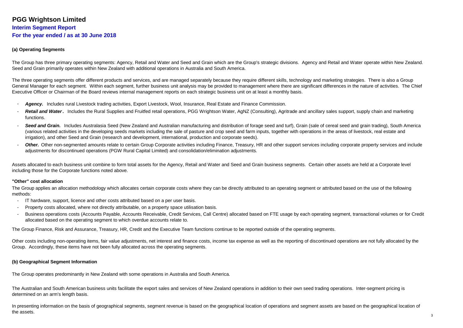#### **PGG Wrightson Limited <sup>3</sup> <sup>3</sup> Interim Segment Report**

**For the year ended / as at 30 June 2018**

## **(a) Operating Segments**

The Group has three primary operating segments: Agency, Retail and Water and Seed and Grain which are the Group's strategic divisions. Agency and Retail and Water operate within New Zealand. Seed and Grain primarily operates within New Zealand with additional operations in Australia and South America.

The three operating segments offer different products and services, and are managed separately because they require different skills, technology and marketing strategies. There is also a Group General Manager for each segment. Within each segment, further business unit analysis may be provided to management where there are significant differences in the nature of activities. The Chief Executive Officer or Chairman of the Board reviews internal management reports on each strategic business unit on at least a monthly basis.

- **Agency.** Includes rural Livestock trading activities, Export Livestock, Wool, Insurance, Real Estate and Finance Commission.
- Retail and Water. Includes the Rural Supplies and Fruitfed retail operations, PGG Wrightson Water, AgNZ (Consulting), Agritrade and ancillary sales support, supply chain and marketing functions.
- Seed and Grain. Includes Australasia Seed (New Zealand and Australian manufacturing and distribution of forage seed and turf), Grain (sale of cereal seed and grain trading), South America (various related activities in the developing seeds markets including the sale of pasture and crop seed and farm inputs, together with operations in the areas of livestock, real estate and irrigation), and other Seed and Grain (research and development, international, production and corporate seeds).
- Other. Other non-segmented amounts relate to certain Group Corporate activities including Finance, Treasury, HR and other support services including corporate property services and include adjustments for discontinued operations (PGW Rural Capital Limited) and consolidation/elimination adjustments.

Assets allocated to each business unit combine to form total assets for the Agency, Retail and Water and Seed and Grain business segments. Certain other assets are held at a Corporate level including those for the Corporate functions noted above.

## **"Other" cost allocation**

 The Group applies an allocation methodology which allocates certain corporate costs where they can be directly attributed to an operating segment or attributed based on the use of the following methods:

- IT hardware, support, licence and other costs attributed based on a per user basis.
- Property costs allocated, where not directly attributable, on a property space utilisation basis.
- Business operations costs (Accounts Payable, Accounts Receivable, Credit Services, Call Centre) allocated based on FTE usage by each operating segment, transactional volumes or for Credit allocated based on the operating segment to which overdue accounts relate to.

The Group Finance, Risk and Assurance, Treasury, HR, Credit and the Executive Team functions continue to be reported outside of the operating segments.

Other costs including non-operating items, fair value adjustments, net interest and finance costs, income tax expense as well as the reporting of discontinued operations are not fully allocated by the Group. Accordingly, these items have not been fully allocated across the operating segments.

## **(b) Geographical Segment Information**

The Group operates predominantly in New Zealand with some operations in Australia and South America.

The Australian and South American business units facilitate the export sales and services of New Zealand operations in addition to their own seed trading operations. Inter-segment pricing is determined on an arm's length basis.

In presenting information on the basis of geographical segments, segment revenue is based on the geographical location of operations and segment assets are based on the geographical location of the assets.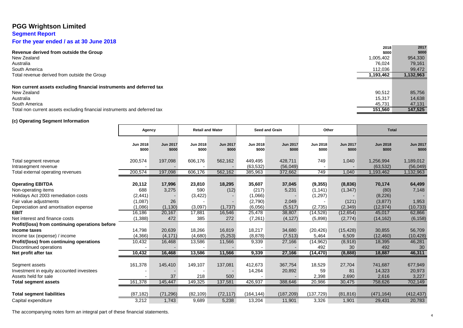## **Segment Report**

**For the year ended / as at 30 June 2018**

|                                                                           | 2018      | 2017      |
|---------------------------------------------------------------------------|-----------|-----------|
| Revenue derived from outside the Group                                    | \$000     | \$000     |
| New Zealand                                                               | 1,005,402 | 954,330   |
| Australia                                                                 | 76.024    | 79,161    |
| South America                                                             | 112,036   | 99,472    |
| Total revenue derived from outside the Group                              | 1,193,462 | 1,132,963 |
|                                                                           |           |           |
| Non current assets excluding financial instruments and deferred tax       |           |           |
| New Zealand                                                               | 90.512    | 85,756    |
| Australia                                                                 | 15,317    | 14,638    |
| South America                                                             | 45.731    | 47,131    |
| Total non current assets excluding financial instruments and deferred tax | 151.560   | 147,525   |

## **(c) Operating Segment Information**

|                                                 | Agency                   |                          | <b>Retail and Water</b>  |                          |                          | <b>Seed and Grain</b>    | Other                    |                          |                          |                          |  | <b>Total</b> |  |
|-------------------------------------------------|--------------------------|--------------------------|--------------------------|--------------------------|--------------------------|--------------------------|--------------------------|--------------------------|--------------------------|--------------------------|--|--------------|--|
|                                                 | <b>Jun 2018</b><br>\$000 | <b>Jun 2017</b><br>\$000 | <b>Jun 2018</b><br>\$000 | <b>Jun 2017</b><br>\$000 | <b>Jun 2018</b><br>\$000 | <b>Jun 2017</b><br>\$000 | <b>Jun 2018</b><br>\$000 | <b>Jun 2017</b><br>\$000 | <b>Jun 2018</b><br>\$000 | <b>Jun 2017</b><br>\$000 |  |              |  |
| Total segment revenue                           | 200,574                  | 197,098                  | 606,176                  | 562,162                  | 449,495                  | 428,711                  | 749                      | 1,040                    | 1,256,994                | 1,189,012                |  |              |  |
| Intrasegment revenue                            |                          |                          |                          |                          | (63, 532)                | (56,049)                 |                          |                          | (63, 532)                | (56, 049)                |  |              |  |
| Total external operating revenues               | 200,574                  | 197,098                  | 606,176                  | 562,162                  | 385,963                  | 372,662                  | 749                      | 1,040                    | 1,193,462                | 1,132,963                |  |              |  |
| <b>Operating EBITDA</b>                         | 20,112                   | 17,996                   | 23,810                   | 18,295                   | 35,607                   | 37,045                   | (9, 355)                 | (8,836)                  | 70,174                   | 64,499                   |  |              |  |
| Non-operating items                             | 688                      | 3,275                    | 590                      | (12)                     | (217)                    | 5,231                    | (1, 141)                 | (1, 347)                 | (80)                     | 7,148                    |  |              |  |
| Holidays Act 2003 remediation costs             | (2, 441)                 |                          | (3, 422)                 |                          | (1,066)                  |                          | (1, 297)                 |                          | (8, 226)                 |                          |  |              |  |
| Fair value adjustments                          | (1,087)                  | 26                       |                          |                          | (2,790)                  | 2,049                    |                          | (121)                    | (3,877)                  | 1,953                    |  |              |  |
| Depreciation and amortisation expense           | (1,086)                  | (1, 130)                 | (3,097)                  | (1,737)                  | (6,056)                  | (5, 517)                 | (2,735)                  | (2, 349)                 | (12, 974)                | (10, 733)                |  |              |  |
| <b>EBIT</b>                                     | 16,186                   | 20,167                   | 17,881                   | 16,546                   | 25,478                   | 38,807                   | (14, 528)                | (12, 654)                | 45,017                   | 62,866                   |  |              |  |
| Net interest and finance costs                  | (1,388)                  | 472                      | 385                      | 272                      | (7, 261)                 | (4, 127)                 | (5,898)                  | (2,774)                  | (14, 162)                | (6, 158)                 |  |              |  |
| Profit/(loss) from continuing operations before |                          |                          |                          |                          |                          |                          |                          |                          |                          |                          |  |              |  |
| income taxes                                    | 14,798                   | 20,639                   | 18,266                   | 16,819                   | 18,217                   | 34,680                   | (20, 426)                | (15, 428)                | 30,855                   | 56,709                   |  |              |  |
| Income tax (expense) / income                   | (4,366)                  | (4, 171)                 | (4,680)                  | (5,253)                  | (8,878)                  | (7, 513)                 | 5,464                    | 6,509                    | (12, 460)                | (10, 428)                |  |              |  |
| Profit/(loss) from continuing operations        | 10,432                   | 16,468                   | 13,586                   | 11,566                   | 9,339                    | 27,166                   | (14, 962)                | (8,918)                  | 18,395                   | 46,281                   |  |              |  |
| Discontinued operations                         |                          |                          |                          |                          |                          |                          | 492                      | 30                       | 492                      | 30                       |  |              |  |
| Net profit after tax                            | 10,432                   | 16,468                   | 13,586                   | 11,566                   | 9,339                    | 27,166                   | (14, 470)                | (8,888)                  | 18,887                   | 46,311                   |  |              |  |
| Segment assets                                  | 161,378                  | 145,410                  | 149.107                  | 137,081                  | 412,673                  | 367,754                  | 18,529                   | 27,704                   | 741,687                  | 677,949                  |  |              |  |
| Investment in equity accounted investees        |                          |                          |                          |                          | 14,264                   | 20,892                   | 59                       | 81                       | 14,323                   | 20,973                   |  |              |  |
| Assets held for sale                            |                          | 37                       | 218                      | 500                      |                          |                          | 2,398                    | 2,690                    | 2,616                    | 3,227                    |  |              |  |
| <b>Total segment assets</b>                     | 161,378                  | 145,447                  | 149,325                  | 137,581                  | 426,937                  | 388,646                  | 20,986                   | 30,475                   | 758,626                  | 702,149                  |  |              |  |
| <b>Total segment liabilities</b>                | (87, 182)                | (71, 296)                | (82, 109)                | (72, 117)                | (164, 144)               | (187, 209)               | (137, 729)               | (81, 816)                | (471, 164)               | (412, 437)               |  |              |  |
| Capital expenditure                             | 3,212                    | 1,743                    | 9,689                    | 5,238                    | 13,204                   | 11,901                   | 3,326                    | 1,901                    | 29,431                   | 20,783                   |  |              |  |

The accompanying notes form an integral part of these financial statements.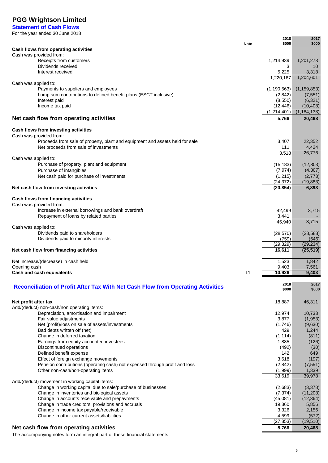**Statement of Cash Flows** For the year ended 30 June 2018

|                                                                                                         | <b>Note</b> | 2018<br>\$000             | 2017<br>\$000             |
|---------------------------------------------------------------------------------------------------------|-------------|---------------------------|---------------------------|
| Cash flows from operating activities                                                                    |             |                           |                           |
| Cash was provided from:                                                                                 |             |                           |                           |
| Receipts from customers<br>Dividends received                                                           |             | 1,214,939<br>3            | 1,201,273<br>10           |
| Interest received                                                                                       |             | 5,225                     | 3,318                     |
|                                                                                                         |             | 1,220,167                 | 1,204,601                 |
| Cash was applied to:                                                                                    |             |                           |                           |
| Payments to suppliers and employees<br>Lump sum contributions to defined benefit plans (ESCT inclusive) |             | (1, 190, 563)<br>(2, 842) | (1, 159, 853)<br>(7, 551) |
| Interest paid                                                                                           |             | (8, 550)                  | (6, 321)                  |
| Income tax paid                                                                                         |             | (12, 446)                 | (10, 408)                 |
|                                                                                                         |             | (1, 214, 401)             | (1, 184, 133)             |
| Net cash flow from operating activities                                                                 |             | 5,766                     | 20,468                    |
| Cash flows from investing activities                                                                    |             |                           |                           |
| Cash was provided from:                                                                                 |             |                           |                           |
| Proceeds from sale of property, plant and equipment and assets held for sale                            |             | 3,407                     | 22,352                    |
| Net proceeds from sale of investments                                                                   |             | 111<br>3,518              | 4,424<br>26,776           |
| Cash was applied to:                                                                                    |             |                           |                           |
| Purchase of property, plant and equipment                                                               |             | (15, 183)                 | (12, 803)                 |
| Purchase of intangibles                                                                                 |             | (7, 974)                  | (4,307)                   |
| Net cash paid for purchase of investments                                                               |             | (1, 215)<br>(24, 372)     | (2,773)<br>(19, 883)      |
| Net cash flow from investing activities                                                                 |             | (20, 854)                 | 6,893                     |
|                                                                                                         |             |                           |                           |
| Cash flows from financing activities                                                                    |             |                           |                           |
| Cash was provided from:<br>Increase in external borrowings and bank overdraft                           |             | 42,499                    |                           |
| Repayment of loans by related parties                                                                   |             | 3,441                     | 3,715                     |
|                                                                                                         |             | 45,940                    | 3,715                     |
| Cash was applied to:                                                                                    |             |                           |                           |
| Dividends paid to shareholders<br>Dividends paid to minority interests                                  |             | (28, 570)<br>(759)        | (28, 588)<br>(646)        |
|                                                                                                         |             | (29, 329)                 | (29, 234)                 |
| Net cash flow from financing activities                                                                 |             | 16,611                    | (25, 519)                 |
|                                                                                                         |             |                           |                           |
| Net increase/(decrease) in cash held<br>Opening cash                                                    |             | 1,523<br>9,403            | 1,842<br>7,561            |
| Cash and cash equivalents                                                                               | 11          | 10,926                    | 9,403                     |
|                                                                                                         |             |                           |                           |
| <b>Reconciliation of Profit After Tax With Net Cash Flow from Operating Activities</b>                  |             | 2018<br>\$000             | 2017<br>\$000             |
|                                                                                                         |             |                           |                           |
| Net profit after tax                                                                                    |             | 18,887                    | 46,311                    |
| Add/(deduct) non-cash/non operating items:                                                              |             |                           |                           |
| Depreciation, amortisation and impairment<br>Fair value adjustments                                     |             | 12,974<br>3,877           | 10,733<br>(1, 953)        |
| Net (profit)/loss on sale of assets/investments                                                         |             | (1,746)                   | (9,630)                   |
| Bad debts written off (net)                                                                             |             | 429                       | 1,244                     |
| Change in deferred taxation                                                                             |             | (1, 114)                  | (811)                     |
| Earnings from equity accounted investees<br>Discontinued operations                                     |             | 1,885<br>(492)            | (126)<br>(30)             |
| Defined benefit expense                                                                                 |             | 142                       | 649                       |
| Effect of foreign exchange movements                                                                    |             | 3,618                     | (197)                     |
| Pension contributions (operating cash) not expensed through profit and loss                             |             | (2, 842)                  | (7, 551)                  |
| Other non-cash/non-operating items                                                                      |             | (1,999)<br>33,619         | 1,339<br>39,978           |
| Add/(deduct) movement in working capital items:                                                         |             |                           |                           |
| Change in working capital due to sale/purchase of businesses                                            |             | (2,683)                   | (3,378)                   |
| Change in inventories and biological assets                                                             |             | (7, 374)                  | (11,208)                  |
| Change in accounts receivable and prepayments<br>Change in trade creditors, provisions and accruals     |             | (45,081)<br>19,360        | (12, 364)<br>5,856        |
| Change in income tax payable/receivable                                                                 |             | 3,326                     | 2,156                     |
| Change in other current assets/liabilities                                                              |             | 4,599                     | (572)                     |
|                                                                                                         |             | (27, 853)                 | (19, 510)                 |
| Net cash flow from operating activities                                                                 |             | 5,766                     | 20,468                    |

The accompanying notes form an integral part of these financial statements.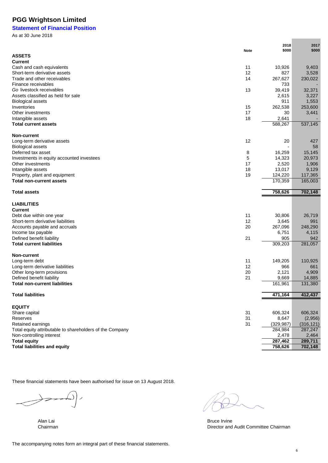## **Statement of Financial Position**

As at 30 June 2018

|                                                          |             | 2018             | 2017             |
|----------------------------------------------------------|-------------|------------------|------------------|
|                                                          | <b>Note</b> | \$000            | \$000            |
| <b>ASSETS</b>                                            |             |                  |                  |
| <b>Current</b>                                           |             |                  |                  |
| Cash and cash equivalents                                | 11<br>12    | 10,926           | 9,403            |
| Short-term derivative assets                             |             | 827              | 3,528            |
| Trade and other receivables                              | 14          | 267,627          | 230,022          |
| Finance receivables                                      |             | 733              |                  |
| Go livestock receivables                                 | 13          | 39,419           | 32,371           |
| Assets classified as held for sale                       |             | 2,615            | 3,227            |
| <b>Biological assets</b>                                 |             | 911              | 1,553            |
| Inventories<br>Other investments                         | 15<br>17    | 262,538<br>30    | 253,600          |
|                                                          | 18          |                  | 3,441            |
| Intangible assets<br><b>Total current assets</b>         |             | 2,641<br>588,267 | 537,145          |
|                                                          |             |                  |                  |
| <b>Non-current</b>                                       |             |                  |                  |
| Long-term derivative assets                              | 12          | 20               | 427              |
| <b>Biological assets</b>                                 |             |                  | 58               |
| Deferred tax asset                                       | 8           | 16,259           | 15,145           |
| Investments in equity accounted investees                | 5           | 14,323           | 20,973           |
| Other investments                                        | 17          | 2,520            | 1,906            |
| Intangible assets                                        | 18          | 13,017           | 9,129            |
| Property, plant and equipment                            | 19          | 124,220          | 117,365          |
| <b>Total non-current assets</b>                          |             | 170,359          | 165,003          |
|                                                          |             |                  |                  |
| <b>Total assets</b>                                      |             | 758,626          | 702,148          |
|                                                          |             |                  |                  |
| <b>LIABILITIES</b>                                       |             |                  |                  |
| <b>Current</b>                                           |             |                  |                  |
| Debt due within one year                                 | 11          | 30,806           | 26,719           |
| Short-term derivative liabilities                        | 12<br>20    | 3,645            | 991              |
| Accounts payable and accruals                            |             | 267,096<br>6,751 | 248,290<br>4,115 |
| Income tax payable<br>Defined benefit liability          | 21          | 905              | 942              |
| <b>Total current liabilities</b>                         |             | 309,203          | 281,057          |
|                                                          |             |                  |                  |
| <b>Non-current</b>                                       |             |                  |                  |
| Long-term debt                                           | 11          | 149,205          | 110,925          |
| Long-term derivative liabilities                         | 12          | 966              | 661              |
| Other long-term provisions                               | 20          | 2,121            | 4,909            |
| Defined benefit liability                                | 21          | 9,669            | 14,885           |
| <b>Total non-current liabilities</b>                     |             | 161,961          | 131,380          |
| <b>Total liabilities</b>                                 |             | 471,164          | 412,437          |
|                                                          |             |                  |                  |
| <b>EQUITY</b>                                            |             |                  |                  |
| Share capital                                            | 31          | 606,324          | 606,324          |
| Reserves                                                 | 31          | 8,647            | (2,956)          |
| Retained earnings                                        | 31          | (329, 987)       | (316, 121)       |
| Total equity attributable to shareholders of the Company |             | 284,984          | 287,247          |
| Non-controlling interest                                 |             | 2,478            | 2,464            |
| <b>Total equity</b>                                      |             | 287,462          | 289,711          |
| <b>Total liabilities and equity</b>                      |             | 758,626          | 702,148          |

These financial statements have been authorised for issue on 13 August 2018.



Alan Lai **Bruce Irvine Chairman**<br>
Bruce Irvine Chairman<br>
Birector and Director and Director and Audit Committee Chairman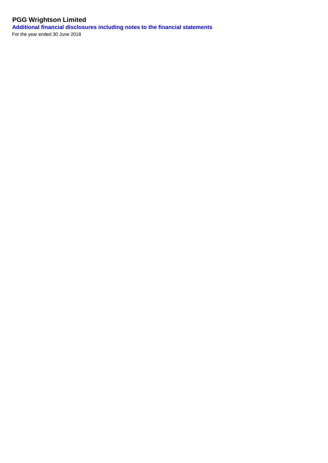**Additional financial disclosures including notes to the financial statements** For the year ended 30 June 2018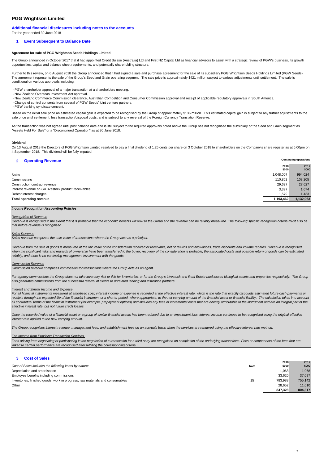#### **Additional financial disclosures including notes to the accounts** For the year ended 30 June 2018

#### **1 Event Subsequent to Balance Date**

#### **Agreement for sale of PGG Wrightson Seeds Holdings Limited**

The Group announced in October 2017 that it had appointed Credit Suisse (Australia) Ltd and First NZ Capital Ltd as financial advisors to assist with a strategic review of PGW's business, its growth opportunities, capital and balance sheet requirements, and potentially shareholding structure.

Further to this review, on 6 August 2018 the Group announced that it had signed a sale and purchase agreement for the sale of its subsidiary PGG Wrightson Seeds Holdings Limited (PGW Seeds). The agreement represents the sale of the Group's Seed and Grain operating segment. The sale price is approximately \$421 million subject to various adjustments until settlement. The sale is conditional on various approvals including:

- PGW shareholder approval of a major transaction at a shareholders meeting.

- New Zealand Overseas Investment Act approval.
- New Zealand Commerce Commission clearance, Australian Competition and Consumer Commission approval and receipt of applicable regulatory approvals in South America.
- Change of control consents from several of PGW Seeds' joint venture partners. - PGW banking syndicate consent.

Based on the initial sale price an estimated capital gain is expected to be recognised by the Group of approximately \$136 million. This estimated capital gain is subject to any further adjustments to the sale price until settlement, less transaction/disposal costs, and is subject to any reversal of the Foreign Currency Translation Reserve.

As the transaction was not agreed until post balance date and is still subject to the required approvals noted above the Group has not recognised the subsidiary or the Seed and Grain segment as "Assets Held For Sale" or a "Discontinued Operation" as at 30 June 2018.

#### **Dividend**

On 13 August 2018 the Directors of PGG Wrightson Limited resolved to pay a final dividend of 1.25 cents per share on 3 October 2018 to shareholders on the Company's share register as at 5.00pm on 4 September 2018. This dividend will be fully imputed.

**Continuing operations**

7

#### **2 Operating Revenue**

| $Sp$ ating not sing $Sp$                             |           |           |
|------------------------------------------------------|-----------|-----------|
|                                                      | 2018      | 2017      |
|                                                      | \$000     | \$000     |
| Sales                                                | 1,048,007 | 994,024   |
| Commissions                                          | 110,852   | 108,205   |
| Construction contract revenue                        | 29,627    | 27,627    |
| Interest revenue on Go livestock product receivables | 3,397     | 1.674     |
| Debtor interest charges                              | 1,579     | 1.433     |
| Total operating revenue                              | 1,193,462 | 1,132,963 |
|                                                      |           |           |

#### **Income Recognition Accounting Policies**

#### Recognition of Revenue

Revenue is recognised to the extent that it is probable that the economic benefits will flow to the Group and the revenue can be reliably measured. The following specific recognition criteria must also be met before revenue is recognised.

#### Sales Revenue

Sales revenue comprises the sale value of transactions where the Group acts as a principal.

Revenue from the sale of goods is measured at the fair value of the consideration received or receivable, net of returns and allowances, trade discounts and volume rebates. Revenue is recognised when the significant risks and rewards of ownership have been transferred to the buyer, recovery of the consideration is probable, the associated costs and possible return of goods can be estimated reliably, and there is no continuing management involvement with the goods.

#### Commission Revenue

Commission revenue comprises commission for transactions where the Group acts as an agent.

For agency commissions the Group does not take inventory risk or title for inventories, or for the Group's Livestock and Real Estate businesses biological assets and properties respectively. The Group also generates commissions from the successful referral of clients to unrelated lending and insurance partners.

#### Interest and Similar Income and Expense

For all financial instruments measured at amortised cost, interest income or expense is recorded at the effective interest rate, which is the rate that exactly discounts estimated future cash payments or receipts through the expected life of the financial instrument or a shorter period, where appropriate, to the net carrying amount of the financial asset or financial liability. The calculation takes into account all contractual terms of the financial instrument (for example, prepayment options) and includes any fees or incremental costs that are directly attributable to the instrument and are an integral part of the effective interest rate, but not future credit losses.

Once the recorded value of a financial asset or a group of similar financial assets has been reduced due to an impairment loss, interest income continues to be recognised using the original effective interest rate applied to the new carrying amount.

The Group recognises interest revenue, management fees, and establishment fees on an accruals basis when the services are rendered using the effective interest rate method.

#### ne from Providing Transaction Services

Fees arising from negotiating or participating in the negotiation of a transaction for a third party are recognised on completion of the underlying transactions. Fees or components of the fees that are linked to certain performance are recognised after fulfilling the corresponding criteria.

#### **3 Cost of Sales**

|                                                                              |             | 2018    | 2017    |
|------------------------------------------------------------------------------|-------------|---------|---------|
| Cost of Sales includes the following items by nature:                        | <b>Note</b> | \$000   | \$000   |
| Depreciation and amortisation                                                |             | 1.068   | 1.068   |
| Employee benefits including commissions                                      |             | 33.620  | 37.097  |
| Inventories, finished goods, work in progress, raw materials and consumables | 15          | 783.988 | 755.142 |
| Other                                                                        |             | 28.652  | 11.010  |
|                                                                              |             | 847.328 | 804.317 |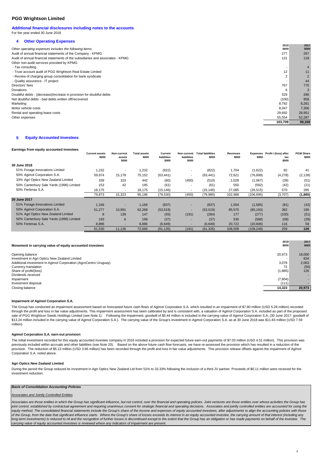#### **Additional financial disclosures including notes to the accounts** For the year ended 30 June 2018

#### **4 Other Operating Expenses**

|                                                                                | 2018           | 2017   |
|--------------------------------------------------------------------------------|----------------|--------|
| Other operating expenses includes the following items:                         | \$000          | \$000  |
| Audit of annual financial statements of the Company - KPMG                     | 277            | 267    |
| Audit of annual financial statements of the subsidiaries and associates - KPMG | 131            | 118    |
| Other non-audit services provided by KPMG                                      |                |        |
| - Tax consulting                                                               | . .            |        |
| - Trust account audit of PGG Wrightson Real Estate Limited                     | 12             | 11     |
| - Review of charging group consolidation for bank syndicate                    | $\overline{2}$ |        |
| - Quality assurance - IT project                                               |                | 44     |
| Directors' fees                                                                | 767            | 770    |
| Donations                                                                      | 6              |        |
| Doubtful debts - (decrease)/increase in provision for doubtful debts           | 529            | 286    |
| Net doubtful debts - bad debts written off/recovered                           | (100)          | 958    |
| Marketing                                                                      | 8.792          | 8,261  |
| Motor vehicle costs                                                            | 8,047          | 7,306  |
| Rental and operating lease costs                                               | 29,692         | 28,951 |
| Other expenses                                                                 | 55,554         | 52,287 |
|                                                                                | 103,709        | 99,268 |
|                                                                                |                |        |

#### **5 Equity Accounted Investees**

#### **Earnings from equity accounted investees**

|                                          | <b>Current assets</b><br>\$000 | Non-current<br>assets<br>\$000 | <b>Total assets</b><br>\$000 | Current<br>liabilities<br>\$000 | liabilities<br>\$000 | Non-current Total liabilities<br>\$000 | Revenues<br>\$000 | \$000      | Expenses Profit / (loss) after<br>tax<br>\$000 | <b>PGW Share</b><br>\$000 |
|------------------------------------------|--------------------------------|--------------------------------|------------------------------|---------------------------------|----------------------|----------------------------------------|-------------------|------------|------------------------------------------------|---------------------------|
| 30 June 2018                             |                                |                                |                              |                                 |                      |                                        |                   |            |                                                |                           |
| 51% Forage Innovations Limited           | 1,232                          | $\overline{\phantom{a}}$       | 1,232                        | (822)                           |                      | (822)                                  | 1,704             | (1,622)    | 82                                             | 41                        |
| 50% Agimol Corporation S.A.              | 59,974                         | 15,178                         | 75,152                       | (63, 441)                       |                      | (63, 441)                              | 72,621            | (76, 899)  | (4,278)                                        | (2, 139)                  |
| 33% Agri Optics New Zealand Limited      | 339                            | 103                            | 442                          | (60)                            | (450)                | (510)                                  | 1,028             | (1,067)    | (39)                                           | (51)                      |
| 50% Canterbury Sale Yards (1996) Limited | 153                            | 42                             | 195                          | (61)                            |                      | (61)                                   | 550               | (592)      | (42)                                           | (21)                      |
| 50% Fertimas S.A.                        | 18.175                         | $\overline{\phantom{a}}$       | 18,175                       | (15, 146)                       |                      | (15, 146)                              | 27,085            | (26, 515)  | 570                                            | 285                       |
|                                          | 79,873                         | 15,323                         | 95,196                       | (79, 530)                       | (450)                | (79,980)                               | 102,988           | (106, 695) | (3,707)                                        | (1,885)                   |
| 30 June 2017                             |                                |                                |                              |                                 |                      |                                        |                   |            |                                                |                           |
| 51% Forage Innovations Limited           | 1.166                          | -                              | 1,166                        | (837)                           |                      | (837)                                  | 1,504             | (1,585)    | (81)                                           | (42)                      |
| 50% Agimol Corporation S.A.              | 51,277                         | 10,991                         | 62,268                       | (53, 519)                       |                      | (53, 519)                              | 85,575            | (85, 193)  | 382                                            | 190                       |
| 51% Agri Optics New Zealand Limited      | 8                              | 139                            | 147                          | (93)                            | (191)                | (284)                                  | 177               | (277)      | (100)                                          | (51)                      |
| 50% Canterbury Sale Yards (1996) Limited | 193                            | 6                              | 199                          | (37)                            | . .                  | (37)                                   | 530               | (588)      | (58)                                           | (29)                      |
| 50% Fertimas S.A.                        | 8,886                          | -                              | 8,886                        | (6,649)                         |                      | (6,649)                                | 20,722            | (20,606)   | 116                                            | 58                        |
|                                          | 61,530                         | 11,136                         | 72,666                       | (61, 135)                       | (191)                | (61, 326)                              | 108,508           | (108, 249) | 259                                            | 126                       |

| 2017   |
|--------|
| \$000  |
|        |
| 18,000 |
| 834    |
| 2,063  |
| (50)   |
| 126    |
|        |
|        |
|        |
| 20.973 |
|        |

#### **Impairment of Agimol Corporation S.A.**

The Group has conducted an impairment assessment based on forecasted future cash flows of Agimol Corporation S.A. which resulted in an impairment of \$7.80 million (USD 5.28 million) recorded through the profit and loss in fair value adjustments. This impairment assessment has been calibrated by and is consistent with, a valuation of Agimol Corporation S.A. included as part of the proposed sale of PGG Wrightson Seeds Holdings Limited (see Note 1). Following the impairment, goodwill of \$5.44 million is included in the carrying value of Agimol Corporation S.A. (30 June 2017: goodwill of \$13.24 million included in the carrying value of Agimol Corporation S.A.). The carrying value of the Group's investment in Agimol Corporation S.A. as at 30 June 2018 was \$11.83 million (USD 7.59 million).

#### **Agimol Corporation S.A. earn-out provision**

The initial investment recorded for this equity accounted investee company in 2016 included a provision for expected future earn-out payments of \$7.03 million (USD 4.51 million). This provision was<br>previously included with provision. The reduction of \$5.13 million (USD 3.66 million) has been recorded through the profit and loss in fair value adjustments. This provision release offsets against the impairment of Agimol Corporation S.A. noted above.

#### **Agri Optics New Zealand Limited**

During the period the Group reduced its investment in Agri Optics New Zealand Ltd from 51% to 33.33% following the inclusion of a third JV partner. Proceeds of \$0.11 million were received for the investment reduction.

#### **Basis of Consolidation Accounting Policies**

#### Associates and Jointly Controlled Entities

Associates are those entities in which the Group has significant influence, but not control, over the financial and operating policies. Joint ventures are those entities over whose activities the Group has joint control, established by contractual agreement and requiring unanimous consent for strategic financial and operating decisions. Associates and jointly controlled entities are accounted for using the .<br>equity method. The consolidated financial statements include the Group's share of the income and expenses of equity accounted investees, after adjustments to align the accounting policies with those of the Group, from the date that significant influence starts. Where the Group's share of losses exceeds its interest in an equity accounted investee, the carrying amount of that interest (including any long-term investments) is reduced to nil and the recognition of further losses is discontinued except to the extent that the Group has an obligation or has made payments on behalf of the investee. The carrying value of equity accounted investees is reviewed where any indicators of impairment are present.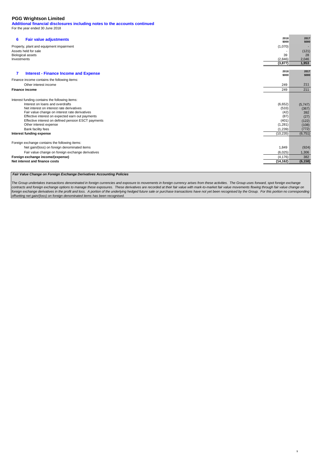**Additional financial disclosures including notes to the accounts continued** For the year ended 30 June 2018

| Property, plant and equipment impairment<br>(1,070)<br>Assets held for sale<br>(121)<br><b>Biological assets</b><br>39<br>28<br>(2,846)<br>2,046<br>Investments<br>1,953<br>(3, 877)<br>2017<br>2018<br>7<br><b>Interest - Finance Income and Expense</b><br>\$000<br>\$000<br>Finance income contains the following items:<br>211<br>Other interest income<br>249<br>211<br><b>Finance income</b><br>249<br>Interest funding contains the following items:<br>Interest on loans and overdrafts<br>(6,652)<br>(5,747)<br>Net interest on interest rate derivatives<br>(533)<br>(367)<br>Fair value change on interest rate derivatives<br>(42)<br>392<br>Effective interest on expected earn out payments<br>(87)<br>(27)<br>Effective interest on defined pension ESCT payments<br>(401)<br>(122)<br>Other interest expense<br>(1,281)<br>(108)<br>(772)<br>Bank facility fees<br>(1,239)<br>(6, 751)<br>Interest funding expense<br>(10, 235)<br>Foreign exchange contains the following items:<br>Net gain/(loss) on foreign denominated items<br>1,849<br>(924)<br>Fair value change on foreign exchange derivatives<br>(6,025)<br>1,306<br>Foreign exchange income/(expense)<br>382<br>(4, 176)<br>Net interest and finance costs<br>(6, 158)<br>(14, 162) | 6 | <b>Fair value adjustments</b> | 2018<br>\$000 | 2017<br>\$000 |
|-----------------------------------------------------------------------------------------------------------------------------------------------------------------------------------------------------------------------------------------------------------------------------------------------------------------------------------------------------------------------------------------------------------------------------------------------------------------------------------------------------------------------------------------------------------------------------------------------------------------------------------------------------------------------------------------------------------------------------------------------------------------------------------------------------------------------------------------------------------------------------------------------------------------------------------------------------------------------------------------------------------------------------------------------------------------------------------------------------------------------------------------------------------------------------------------------------------------------------------------------------------------|---|-------------------------------|---------------|---------------|
|                                                                                                                                                                                                                                                                                                                                                                                                                                                                                                                                                                                                                                                                                                                                                                                                                                                                                                                                                                                                                                                                                                                                                                                                                                                                 |   |                               |               |               |
|                                                                                                                                                                                                                                                                                                                                                                                                                                                                                                                                                                                                                                                                                                                                                                                                                                                                                                                                                                                                                                                                                                                                                                                                                                                                 |   |                               |               |               |
|                                                                                                                                                                                                                                                                                                                                                                                                                                                                                                                                                                                                                                                                                                                                                                                                                                                                                                                                                                                                                                                                                                                                                                                                                                                                 |   |                               |               |               |
|                                                                                                                                                                                                                                                                                                                                                                                                                                                                                                                                                                                                                                                                                                                                                                                                                                                                                                                                                                                                                                                                                                                                                                                                                                                                 |   |                               |               |               |
|                                                                                                                                                                                                                                                                                                                                                                                                                                                                                                                                                                                                                                                                                                                                                                                                                                                                                                                                                                                                                                                                                                                                                                                                                                                                 |   |                               |               |               |
|                                                                                                                                                                                                                                                                                                                                                                                                                                                                                                                                                                                                                                                                                                                                                                                                                                                                                                                                                                                                                                                                                                                                                                                                                                                                 |   |                               |               |               |
|                                                                                                                                                                                                                                                                                                                                                                                                                                                                                                                                                                                                                                                                                                                                                                                                                                                                                                                                                                                                                                                                                                                                                                                                                                                                 |   |                               |               |               |
|                                                                                                                                                                                                                                                                                                                                                                                                                                                                                                                                                                                                                                                                                                                                                                                                                                                                                                                                                                                                                                                                                                                                                                                                                                                                 |   |                               |               |               |
|                                                                                                                                                                                                                                                                                                                                                                                                                                                                                                                                                                                                                                                                                                                                                                                                                                                                                                                                                                                                                                                                                                                                                                                                                                                                 |   |                               |               |               |
|                                                                                                                                                                                                                                                                                                                                                                                                                                                                                                                                                                                                                                                                                                                                                                                                                                                                                                                                                                                                                                                                                                                                                                                                                                                                 |   |                               |               |               |
|                                                                                                                                                                                                                                                                                                                                                                                                                                                                                                                                                                                                                                                                                                                                                                                                                                                                                                                                                                                                                                                                                                                                                                                                                                                                 |   |                               |               |               |
|                                                                                                                                                                                                                                                                                                                                                                                                                                                                                                                                                                                                                                                                                                                                                                                                                                                                                                                                                                                                                                                                                                                                                                                                                                                                 |   |                               |               |               |
|                                                                                                                                                                                                                                                                                                                                                                                                                                                                                                                                                                                                                                                                                                                                                                                                                                                                                                                                                                                                                                                                                                                                                                                                                                                                 |   |                               |               |               |
|                                                                                                                                                                                                                                                                                                                                                                                                                                                                                                                                                                                                                                                                                                                                                                                                                                                                                                                                                                                                                                                                                                                                                                                                                                                                 |   |                               |               |               |
|                                                                                                                                                                                                                                                                                                                                                                                                                                                                                                                                                                                                                                                                                                                                                                                                                                                                                                                                                                                                                                                                                                                                                                                                                                                                 |   |                               |               |               |
|                                                                                                                                                                                                                                                                                                                                                                                                                                                                                                                                                                                                                                                                                                                                                                                                                                                                                                                                                                                                                                                                                                                                                                                                                                                                 |   |                               |               |               |

#### **Fair Value Change on Foreign Exchange Derivatives Accounting Policies**

The Group undertakes transactions denominated in foreign currencies and exposure to movements in foreign currency arises from these activities. The Group uses forward, spot foreign exchange<br>contracts and foreign exchange o offsetting net gain/(loss) on foreign denominated items has been recognised.

9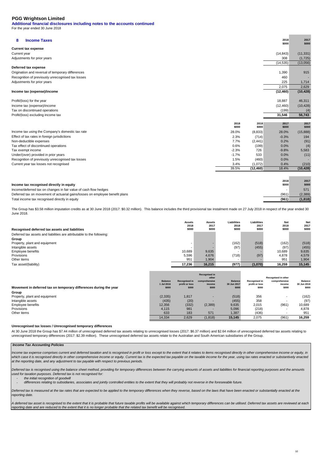**Additional financial disclosures including notes to the accounts continued** For the year ended 30 June 2018

**8 Income Taxes <sup>2018</sup> \$000 Current tax expense** Current year (11,331) (14,843) Adjustments for prior years and the state of the state of the state of the state of the state of the state of the state of the state of the state of the state of the state of the state of the state of the state of the stat  $(14,535)$   $(13,056)$ **Deferred tax expense** Origination and reversal of temporary differences expansion of the state of the state of temporary differences of the state of temporary differences of the state of the state of the state of the state of the state of the s Recognition of previously unrecognised tax losses Adjustments for prior years 225 and the state of the control of the control of the control of the control of the control of the control of the control of the control of the control of the control of the control of the cont 2,629 2,075 **Income tax (expense)/income (10,428) (12,460)**  Profit/(loss) for the year 46,311 18,887 46,311 Income tax (expense)/income (10,428) (12,460) Tax on discontinued operations (4) (199) Profit/(loss) excluding income tax **56,743 31,546 2018 \$000 2018 \$000 2017 \$000** 28.0% (8,833) 28.0% (15,888) 2.3% (714) -0.3% 194 Non-deductible expenses (91) 2% (2,441) 0.2% (91) Tax effect of discontinued operations (4) and the control of the control of the control of the control of the control of the control of the control of the control of the control of the control of the control of the control Tax exempt income -2.3% 726 -9.8% 5,583 Under/(over) provided in prior years -1.7% 533 0.0% (11) Recognition of previously unrecognised tax losses 3.4% (1,072) 0.4% (210)<br>39.5% (12,460) 18.4% (10,428)  $\overline{(12,460)}$ Income tax using the Company's domestic tax rate Effect of tax rates in foreign jurisdictions Current year tax losses not recognised

| Income tax recognised directly in equity                                     | 2018<br>\$000 | 2017<br>\$000 |
|------------------------------------------------------------------------------|---------------|---------------|
| Income/deferred tax on changes in fair value of cash flow hedges             |               | 571           |
| Deferred tax on movement of actuarial gains/losses on employee benefit plans | (961)         | (2, 389)      |
| Total income tax recognised directly in equity                               | (961)         | (1,818)       |
|                                                                              |               |               |

The Group has \$3.58 million imputation credits as at 30 June 2018 (2017: \$0.32 million). This balance includes the third provisional tax instalment made on 27 July 2018 in respect of the year ended 30 June 2018.

|                                                                        | <b>Assets</b><br>2018 | <b>Assets</b><br>2017 | <b>Liabilities</b><br>2018 | <b>Liabilities</b><br>2017 | Net<br>2018 | Net<br>2017 |
|------------------------------------------------------------------------|-----------------------|-----------------------|----------------------------|----------------------------|-------------|-------------|
| Recognised deferred tax assets and liabilities                         | \$000                 | \$000                 | \$000                      | \$000                      | \$000       | \$000       |
| Deferred tax assets and liabilities are attributable to the following: |                       |                       |                            |                            |             |             |
| Group                                                                  |                       |                       |                            |                            |             |             |
| Property, plant and equipment                                          |                       |                       | (162)                      | (518)                      | (162)       | (518)       |
| Intangible assets                                                      |                       |                       | (97)                       | (455)                      | (97)        | (455)       |
| Employee benefits                                                      | 10.689                | 9,635                 |                            |                            | 10.689      | 9,635       |
| Provisions                                                             | 5,596                 | 4.676                 | (718)                      | (97)                       | 4,878       | 4.579       |
| Other items                                                            | 951                   | 1,904                 |                            |                            | 951         | 1,904       |
| Tax asset/(liability)                                                  | 17.236                | 16.215                | (977)                      | (1,070)                    | 16.259      | 15.145      |

| Movement in deferred tax on temporary differences during the year | <b>Balance</b><br>1 Jul 2016<br>\$000 | <b>Recognised in</b><br>profit or loss<br>\$000 | <b>Recognised in</b><br>other<br>comprehensive<br>income<br>\$000 | <b>Balance</b><br>30 Jun 2017<br>\$000 | <b>Recognised in</b><br>profit or loss<br>\$000 | Recognised in other<br>comprehensive<br>income<br>\$000 | <b>Balance</b><br>30 Jun 2018<br>\$000 |
|-------------------------------------------------------------------|---------------------------------------|-------------------------------------------------|-------------------------------------------------------------------|----------------------------------------|-------------------------------------------------|---------------------------------------------------------|----------------------------------------|
| Group                                                             |                                       |                                                 |                                                                   |                                        |                                                 |                                                         |                                        |
| Property, plant and equipment                                     | (2, 335)                              | 1.817                                           |                                                                   | (518)                                  | 356                                             |                                                         | (162)                                  |
| Intangible assets                                                 | (435)                                 | (20)                                            |                                                                   | (455)                                  | 358                                             |                                                         | (97)                                   |
| Employee benefits                                                 | 12.356                                | (332)                                           | (2,389)                                                           | 9,635                                  | 2,015                                           | (961)                                                   | 10,689                                 |
| Provisions                                                        | 4,115                                 | 981                                             |                                                                   | 5,096                                  | (218)                                           |                                                         | 4,878                                  |
| Other items                                                       | 633                                   | 183                                             | 571                                                               | 1,387                                  | (436)                                           |                                                         | 951                                    |
|                                                                   | 14.334                                | 2,629                                           | (1, 818)                                                          | 15.145                                 | 2,075                                           | (961)                                                   | 16.259                                 |

#### **Unrecognised tax losses / Unrecognised temporary differences**

At 30 June 2018 the Group has \$7.44 million of unrecognised deferred tax assets relating to unrecognised losses (2017: \$6.37 million) and \$2.64 million of unrecognised deferred tax assets relating to unrecognised temporary differences (2017: \$2.39 million). These unrecognised deferred tax assets relate to the Australian and South American subsidiaries of the Group.

#### **Income Tax Accounting Policies**

Income tax expense comprises current and deferred taxation and is recognised in profit or loss except to the extent that it relates to items recognised directly in other comprehensive income or equity, in which case it is recognised directly in other comprehensive income or equity. Current tax is the expected tax payable on the taxable income for the year, using tax rates enacted or substantively enacted at the reporting date, and any adjustment to tax payable with respect to previous periods.

Deferred tax is recognised using the balance sheet method, providing for temporary differences between the carrying amounts of assets and liabilities for financial reporting purposes and the amounts used for taxation purposes. Deferred tax is not recognised for:

the initial recognition of goodwill

 differences relating to subsidiaries, associates and jointly controlled entities to the extent that they will probably not reverse in the foreseeable future.

Deferred tax is measured at the tax rates that are expected to be applied to the temporary differences when they reverse, based on the laws that have been enacted or substantially enacted at the reporting date.

A deferred tax asset is recognised to the extent that it is probable that future taxable profits will be available against which temporary differences can be utilised. Deferred tax assets are reviewed at each reporting date and are reduced to the extent that it is no longer probable that the related tax benefit will be recognised.

**2017 \$000**

**2017 \$000**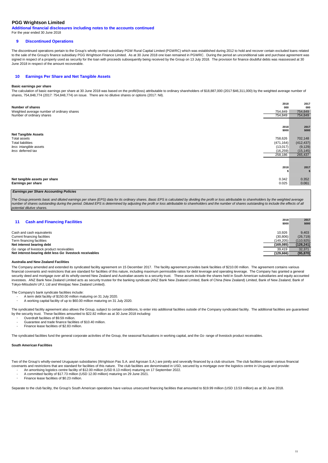**Additional financial disclosures including notes to the accounts continued** For the year ended 30 June 2018

#### **9 Discontinued Operations**

The discontinued operations pertain to the Group's wholly owned subsidiary PGW Rural Capital Limited (PGWRC) which was established during 2012 to hold and recover certain excluded loans related to the sale of the Group's finance subsidiary PGG Wrightson Finance Limited. As at 30 June 2018 one loan remained in PGWRC. During the period an unconditional sale and purchase agreement was signed in respect of a property used as security for the loan with proceeds subsequently being received by the Group on 13 July 2018. The provision for finance doubtful debts was reassessed at 30 June 2018 in respect of the amount recoverable.

#### **10 Earnings Per Share and Net Tangible Assets**

#### **Basic earnings per share**

The calculation of basic earnings per share at 30 June 2018 was based on the profit/(loss) attributable to ordinary shareholders of \$18,887,000 (2017:\$46,311,000) by the weighted average number of shares, 754,848,774 (2017: 754,848,774) on issue. There are no dilutive shares or options (2017: Nil).

| Number of shares                           | 2018<br>000 | 2017<br>000 |
|--------------------------------------------|-------------|-------------|
| Weighted average number of ordinary shares | 754,849     | 754,849     |
| Number of ordinary shares                  | 754,849     | 754,849     |
|                                            |             |             |
|                                            | 2018        | 2017        |
| <b>Net Tangible Assets</b>                 | \$000       | \$000       |
| Total assets                               | 758,626     | 702,148     |
| <b>Total liabilities</b>                   | (471, 164)  | (412, 437)  |
| less intangible assets                     | (13,017)    | (9, 129)    |
| less deferred tax                          | (16, 259)   | (15, 145)   |
|                                            | 258,186     | 265,437     |
|                                            |             |             |
|                                            | 2018        | 2017<br>-5  |
| Net tangible assets per share              | 0.342       | 0.352       |
| Earnings per share                         | 0.025       | 0.061       |

#### **Earnings per Share Accounting Policies**

The Group presents basic and diluted earnings per share (EPS) data for its ordinary shares. Basic EPS is calculated by dividing the profit or loss attributable to shareholders by the weighted average number of shares outstanding during the period. Diluted EPS is determined by adjusting the profit or loss attributable to shareholders and the number of shares outstanding to include the effects of all potential dilutive shares.

| <b>Cash and Financing Facilities</b><br>11 |  |
|--------------------------------------------|--|
|--------------------------------------------|--|

| <b>Cash and Financing Facilities</b>                    | 2018      | 2017       |
|---------------------------------------------------------|-----------|------------|
|                                                         | \$000     | \$000      |
|                                                         |           |            |
| Cash and cash equivalents                               | 10.926    | 9.403      |
| Current financing facilities                            | (30, 806) | (26, 719)  |
| Term financing facilities                               | (149.205) | (110, 925) |
| Net interest bearing debt                               | (169,085) | (128, 241) |
| Go range of livestock product receivables               | 39.419    | 32.371     |
| Net interest-bearing debt less Go livestock receivables | (129.666) | (95, 870)  |

#### **Australia and New Zealand Facilities**

The Company amended and extended its syndicated facility agreement on 15 December 2017. The facility agreement provides bank facilities of \$210.00 million. The agreement contains various financial covenants and restrictions that are standard for facilities of this nature, including maximum permissible ratios for debt leverage and operating leverage. The Company has granted a general security deed and mortgage over all its wholly-owned New Zealand and Australian assets to a security trust. These assets include the shares held in South American subsidiaries and equity accounted investees. ANZ Bank New Zealand Limited acts as security trustee for the banking syndicate (ANZ Bank New Zealand Limited, Bank of China (New Zealand) Limited. Bank of New Zealand, Limited, Bank of New Zealand, Bank of Tokyo-Mitsubishi UFJ, Ltd and Westpac New Zealand Limited).

The Company's bank syndicate facilities include:

- - A term debt facility of \$150.00 million maturing on 31 July 2020. A working capital facility of up to \$60.00 million maturing on 31 July 2020.

The syndicated facility agreement also allows the Group, subject to certain conditions, to enter into additional facilities outside of the Company syndicated facility. The additional facilities are guaranteed<br>by the securi

- Overdraft facilities of \$9.59 million. Guarantee and trade finance facilities of \$10.40 million.
- - Finance lease facilities of \$2.83 million.

The syndicated facilities fund the general corporate activities of the Group, the seasonal fluctuations in working capital, and the Go range of livestock product receivables.

#### **South American Facilities**

Two of the Group's wholly-owned Uruguayan subsidiaries (Wrightson Pas S.A. and Agrosan S.A.) are jointly and severally financed by a club structure. The club facilities contain various financial covenants and restrictions that are standard for facilities of this nature. The club facilities are denominated in USD, secured by a mortgage over the logistics centre in Uruguay and provide:

- A committed facility of \$17.73 million (USD 12.00 million) maturing on 29 June 2021. An amortising logistics centre facility of \$12.00 million (USD 8.13 million) maturing on 17 September 2022.
- - Finance lease facilities of \$0.23 million.

Separate to the club facility, the Group's South American operations have various unsecured financing facilities that amounted to \$19.99 million (USD 13.53 million) as at 30 June 2018.

**2017**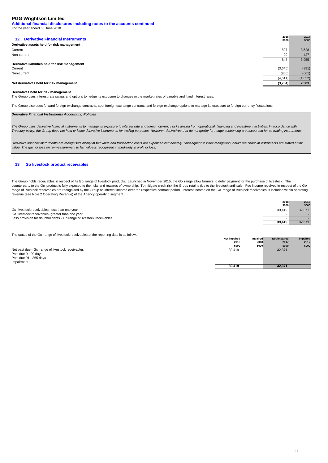**Additional financial disclosures including notes to the accounts continued** For the year ended 30 June 2018

| <b>Derivative Financial Instruments</b><br>12 <sup>12</sup> | 2018<br>\$000 | 2017<br>\$000 |
|-------------------------------------------------------------|---------------|---------------|
| Derivative assets held for risk management                  |               |               |
| Current                                                     | 827           | 3,528         |
| Non-current                                                 | 20            | 427           |
|                                                             | 847           | 3,955         |
| Derivative liabilities held for risk management             |               |               |
| Current                                                     | (3,645)       | (991)         |
| Non-current                                                 | (966)         | (661)         |
|                                                             | (4,611)       | (1,652)       |
| Net derivatives held for risk management                    | (3,764)       | 2,303         |
|                                                             |               |               |

#### **Derivatives held for risk management**

The Group uses interest rate swaps and options to hedge its exposure to changes in the market rates of variable and fixed interest rates.

The Group also uses forward foreign exchange contracts, spot foreign exchange contracts and foreign exchange options to manage its exposure to foreign currency fluctuations.

#### **Derivative Financial Instruments Accounting Policies**

The Group uses derivative financial instruments to manage its exposure to interest rate and foreign currency risks arising from operational, financing and investment activities. In accordance with Treasury policy, the Group does not hold or issue derivative instruments for trading purposes. However, derivatives that do not qualify for hedge accounting are accounted for as trading instruments.

Derivative financial instruments are recognised initially at fair value and transaction costs are expensed immediately. Subsequent to initial recognition, derivative financial instruments are stated at fair value. The gain or loss on re-measurement to fair value is recognised immediately in profit or loss.

#### **13 Go livestock product receivables**

The Group holds receivables in respect of its Go range of livestock products. Launched in November 2015, the Go range allow farmers to defer payment for the purchase of livestock. The<br>counterparty to the Go product is full range of livestock receivables are recognised by the Group as interest income over the respective contract period. Interest income on the Go range of livestock receivables is included within operating revenue (see Note 2 Operating Revenue) of the Agency operating segment.

|                                                                       | 2018   | 2017   |
|-----------------------------------------------------------------------|--------|--------|
|                                                                       | \$000  | \$000  |
| Go livestock receivables -less than one year                          | 39.419 | 32.371 |
| Go livestock receivables -greater than one year                       |        |        |
| Less provision for doubtful debts - Go range of livestock receivables |        |        |
|                                                                       | 39.419 | 32,371 |

The status of the Go range of livestock receivables at the reporting date is as follows:

|                                                  | 2018   | 2018                     | 2017   | 2017  |
|--------------------------------------------------|--------|--------------------------|--------|-------|
|                                                  | \$000  | \$000                    | \$000  | \$000 |
| Not past due - Go range of livestock receivables | 39,419 | -                        | 32,371 |       |
| Past due 0 - 90 days                             | . .    | -                        |        |       |
| Past due 91 - 365 days                           | -      | $\overline{\phantom{0}}$ | -      |       |
| Impairment                                       |        |                          |        |       |
|                                                  | 39.419 |                          | 32.371 |       |

 **Not impaired**

 **Impaired Not impaired Impaired**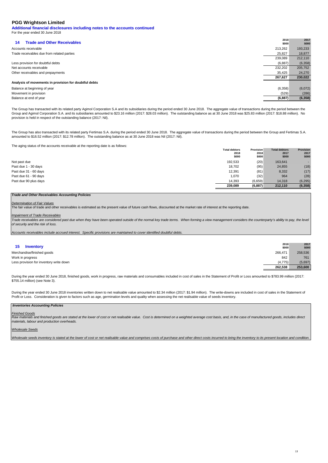**Additional financial disclosures including notes to the accounts continued** For the year ended 30 June 2018

| <b>Trade and Other Receivables</b><br>14              | 2018<br>\$000 | 2017<br>\$000 |
|-------------------------------------------------------|---------------|---------------|
| Accounts receivable                                   | 213,262       | 193,233       |
| Trade receivables due from related parties            | 25,827        | 18,877        |
|                                                       | 239,089       | 212,110       |
| Less provision for doubtful debts                     | (6,887)       | (6, 358)      |
| Net accounts receivable                               | 232,202       | 205,752       |
| Other receivables and prepayments                     | 35,425        | 24,270        |
|                                                       | 267,627       | 230,022       |
| Analysis of movements in provision for doubtful debts |               |               |
| Balance at beginning of year                          | (6,358)       | (6,072)       |
| Movement in provision                                 | (529)         | (286)         |
| Balance at end of year                                | (6, 887)      | (6, 358)      |

The Group has transacted with its related party Agimol Corporation S.A and its subsidiaries during the period ended 30 June 2018. The aggregate value of transactions during the period between the Group and Agimol Corporation S.A. and its subsidiaries amounted to \$23.16 million (2017: \$28.03 million). The outstanding balance as at 30 June 2018 was \$25.83 million (2017: \$18.88 million). No provision is held in respect of the outstanding balance (2017: Nil).

The Group has also transacted with its related party Fertimas S.A. during the period ended 30 June 2018. The aggregate value of transactions during the period between the Group and Fertimas S.A.<br>amounted to \$16.52 million

The aging status of the accounts receivable at the reporting date is as follows:

|                       | <b>Total debtors</b> | <b>Provision</b> | <b>Total debtors</b> | <b>Provision</b> |
|-----------------------|----------------------|------------------|----------------------|------------------|
|                       | 2018                 | 2018             | 2017                 | 2017             |
|                       | \$000                | \$000            | \$000                | \$000            |
| Not past due          | 192,533              | (20)             | 163,641              |                  |
| Past due 1 - 30 days  | 18,702               | (95)             | 24,855               | (18)             |
| Past due 31 - 60 days | 12,391               | (81)             | 8,332                | (17)             |
| Past due 61 - 90 days | 1,070                | (32)             | 964                  | (28)             |
| Past due 90 plus days | 14,393               | (6,659)          | 14,318               | (6, 295)         |
|                       | 239,089              | (6, 887)         | 212.110              | (6, 358)         |

#### **Trade and Other Receivables Accounting Policies**

#### Determination of Fair Values

The fair value of trade and other receivables is estimated as the present value of future cash flows, discounted at the market rate of interest at the reporting date.

#### **Impairment of Trade Receivables**

Trade receivables are considered past due when they have been operated outside of the normal key trade terms. When forming a view management considers the counterparty's ability to pay, the level of security and the risk of loss.

Accounts receivables include accrued interest. Specific provisions are maintained to cover identified doubtful debts.

| 15<br><b>Inventory</b>                  | 2018<br>\$000 | 2017<br>\$000 |
|-----------------------------------------|---------------|---------------|
| Merchandise/finished goods              | 266.471       | 258,536       |
| Work in progress                        | 842           | 761           |
| Less provision for inventory write down | (4, 775)      | (5,697)       |
|                                         | 262.538       | 253,600       |

During the year ended 30 June 2018, finished goods, work in progress, raw materials and consumables included in cost of sales in the Statement of Profit or Loss amounted to \$783.99 million (2017: \$755.14 million) (see Note 3).

During the year ended 30 June 2018 inventories written down to net realisable value amounted to \$2.34 million (2017: \$1.94 million). The write-downs are included in cost of sales in the Statement of Profit or Loss. Consideration is given to factors such as age, germination levels and quality when assessing the net realisable value of seeds inventory.

#### **Inventories Accounting Policies**

#### Finished Goods

Raw materials and finished goods are stated at the lower of cost or net realisable value. Cost is determined on a weighted average cost basis, and, in the case of manufactured goods, includes direct materials, labour and production overheads.

#### Wholesale Seeds

Wholesale seeds inventory is stated at the lower of cost or net realisable value and comprises costs of purchase and other direct costs incurred to bring the inventory to its present location and condition.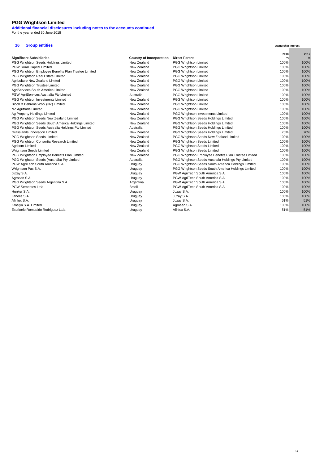**Additional financial disclosures including notes to the accounts continued** For the year ended 30 June 2018

## **16 Group entities**

|                                                      |                          |                                                      | 2018 | 2017 |
|------------------------------------------------------|--------------------------|------------------------------------------------------|------|------|
| <b>Significant Subsidiaries</b>                      | Country of Incorporation | <b>Direct Parent</b>                                 | %    | %    |
| PGG Wrightson Seeds Holdings Limited                 | New Zealand              | PGG Wrightson Limited                                | 100% | 100% |
| <b>PGW Rural Capital Limited</b>                     | New Zealand              | <b>PGG Wrightson Limited</b>                         | 100% | 100% |
| PGG Wrightson Employee Benefits Plan Trustee Limited | New Zealand              | <b>PGG Wrightson Limited</b>                         | 100% | 100% |
| PGG Wrightson Real Estate Limited                    | New Zealand              | PGG Wrightson Limited                                | 100% | 100% |
| Agriculture New Zealand Limited                      | New Zealand              | <b>PGG Wrightson Limited</b>                         | 100% | 100% |
| PGG Wrightson Trustee Limited                        | New Zealand              | PGG Wrightson Limited                                | 100% | 100% |
| AgriServices South America Limited                   | New Zealand              | PGG Wrightson Limited                                | 100% | 100% |
| PGW AgriServices Australia Pty Limited               | Australia                | <b>PGG Wrightson Limited</b>                         | 100% | 100% |
| PGG Wrightson Investments Limited                    | New Zealand              | <b>PGG Wrightson Limited</b>                         | 100% | 100% |
| Bloch & Behrens Wool (NZ) Limited                    | New Zealand              | <b>PGG Wrightson Limited</b>                         | 100% | 100% |
| NZ Agritrade Limited                                 | New Zealand              | PGG Wrightson Limited                                | 100% | 100% |
| Ag Property Holdings Limited                         | New Zealand              | PGG Wrightson Investments Limited                    | 100% | 100% |
| PGG Wrightson Seeds New Zealand Limited              | New Zealand              | PGG Wrightson Seeds Holdings Limited                 | 100% | 100% |
| PGG Wrightson Seeds South America Holdings Limited   | New Zealand              | PGG Wrightson Seeds Holdings Limited                 | 100% | 100% |
| PGG Wrightson Seeds Australia Holdings Pty Limited   | Australia                | PGG Wrightson Seeds Holdings Limited                 | 100% | 100% |
| Grasslands Innovation Limited                        | New Zealand              | PGG Wrightson Seeds Holdings Limited                 | 70%  | 70%  |
| PGG Wrightson Seeds Limited                          | New Zealand              | PGG Wrightson Seeds New Zealand Limited              | 100% | 100% |
| PGG Wrightson Consortia Research Limited             | New Zealand              | PGG Wrightson Seeds Limited                          | 100% | 100% |
| Agricom Limited                                      | New Zealand              | PGG Wrightson Seeds Limited                          | 100% | 100% |
| Wrightson Seeds Limited                              | New Zealand              | PGG Wrightson Seeds Limited                          | 100% | 100% |
| PGG Wrightson Employee Benefits Plan Limited         | New Zealand              | PGG Wrightson Employee Benefits Plan Trustee Limited | 100% | 100% |
| PGG Wrightson Seeds (Australia) Pty Limited          | Australia                | PGG Wrightson Seeds Australia Holdings Pty Limited   | 100% | 100% |
| PGW AgriTech South America S.A.                      | Uruguay                  | PGG Wrightson Seeds South America Holdings Limited   | 100% | 100% |
| Wrightson Pas S.A.                                   | Uruguay                  | PGG Wrightson Seeds South America Holdings Limited   | 100% | 100% |
| Juzay S.A.                                           | Uruguay                  | PGW AgriTech South America S.A.                      | 100% | 100% |
| Agrosan S.A.                                         | Uruguay                  | PGW AgriTech South America S.A.                      | 100% | 100% |
| PGG Wrightson Seeds Argentina S.A.                   | Argentina                | PGW AgriTech South America S.A.                      | 100% | 100% |
| <b>PGW Sementes Ltda</b>                             | Brazil                   | PGW AgriTech South America S.A.                      | 100% | 100% |
| Hunker S.A.                                          | Uruguay                  | Juzay S.A.                                           | 100% | 100% |
| Lanelle S.A.                                         | Uruguay                  | Juzay S.A.                                           | 100% | 100% |
| Afinlux S.A.                                         | Uruguay                  | Juzay S.A.                                           | 51%  | 51%  |
| Kroslyn S.A. Limited                                 | Uruguay                  | Agrosan S.A.                                         | 100% | 100% |
| Escritorio Romualdo Rodriguez Ltda                   | Uruguay                  | Afinlux S.A.                                         | 51%  | 51%  |

**Ownership interest**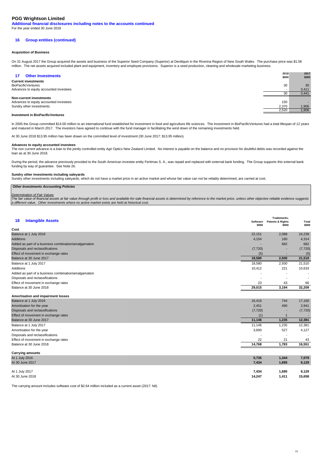**Additional financial disclosures including notes to the accounts continued** For the year ended 30 June 2018

#### **16 Group entities (continued)**

#### **Acquisition of Business**

On 31 August 2017 the Group acquired the assets and business of the Superior Seed Company (Superior) at Deniliquin in the Riverina Region of New South Wales. The purchase price was \$1.06 million. The net assets acquired included plant and equipment, inventory and employee provisions. Superior is a seed production, cleaning and wholesale marketing business.

| <b>Other Investments</b><br>17         | 2018<br>\$000 | 2017<br>\$000 |
|----------------------------------------|---------------|---------------|
| <b>Current investments</b>             |               |               |
| <b>BioPacificVentures</b>              | 30            | 30            |
| Advances to equity accounted investees |               | 3,411         |
|                                        | 30            | 3,441         |
| Non-current investments                |               |               |
| Advances to equity accounted investees | 150           |               |
| Sundry other investments               | 2.370         | 1,906         |
|                                        | 2,520         | 1,906         |

#### **Investment in BioPacificVentures**

In 2005 the Group committed \$14.00 million to an international fund established for investment in food and agriculture life sciences. The investment in BioPacificVentures had a total lifespan of 12 years and matured in March 2017. The investors have agreed to continue with the fund manager in facilitating the wind down of the remaining investments held.

At 30 June 2018 \$13.95 million has been drawn on the committed level of investment (30 June 2017: \$13.95 million).

#### **Advances to equity accounted investees**

The non current advance is a loan to the jointly controlled entity Agri Optics New Zealand Limited. No interest is payable on the balance and no provision for doubtful debts was recorded against the loan as at 30 June 2018.

During the period, the advance previously provided to the South American investee entity Fertimas S. A., was repaid and replaced with external bank funding. The Group supports this external bank funding by way of guarantee. See Note 26.

#### **Sundry other investments including saleyards**

Sundry other investments including saleyards, which do not have a market price in an active market and whose fair value can not be reliably determined, are carried at cost.

#### **Other Investments Accounting Policies**

Determination of Fair Values<br>The fair value of financial assets at fair value through profit or loss and available-for-sale financial assets is determined by reference to the market price, unless other objective reliable e a different value. Other investments where no active market exists are held at historical cost.

| <b>Intangible Assets</b><br>18                       | Software<br>\$000        | Trademarks.<br>Patents & Rights<br>\$000 | <b>Total</b><br>\$000    |
|------------------------------------------------------|--------------------------|------------------------------------------|--------------------------|
| Cost                                                 |                          |                                          |                          |
| Balance at 1 July 2016                               | 22,151                   | 2,088                                    | 24,239                   |
| <b>Additions</b>                                     | 4,154                    | 160                                      | 4,314                    |
| Added as part of a business combination/amalgamation | -                        | 682                                      | 682                      |
| Disposals and reclassifications                      | (7, 720)                 |                                          | (7, 720)                 |
| Effect of movement in exchange rates                 | (5)                      |                                          | (5)                      |
| Balance at 30 June 2017                              | 18,580                   | 2,930                                    | 21,510                   |
| Balance at 1 July 2017                               | 18,580                   | 2,930                                    | 21,510                   |
| Additions                                            | 10,412                   | 221                                      | 10,633                   |
| Added as part of a business combination/amalgamation | $\overline{\phantom{a}}$ |                                          | $\overline{\phantom{a}}$ |
| Disposals and reclassifications                      | $\overline{\phantom{a}}$ |                                          |                          |
| Effect of movement in exchange rates                 | 23                       | 43                                       | 66                       |
| Balance at 30 June 2018                              | 29,015                   | 3,194                                    | 32,209                   |

#### **Amortisation and impairment losses**

| Balance at 30 June 2018              | 14.768   | 1,783 | 16,551   |
|--------------------------------------|----------|-------|----------|
| Effect of movement in exchange rates | 22       | 21    | 43       |
| Disposals and reclassifications      |          |       |          |
| Amortisation for the year            | 3,600    | 527   | 4,127    |
| Balance at 1 July 2017               | 11.146   | 1,235 | 12,381   |
| Balance at 30 June 2017              | 11.146   | 1,235 | 12,381   |
| Effect of movement in exchange rates | (1)      |       |          |
| Disposals and reclassifications      | (7, 720) |       | (7, 720) |
| Amortisation for the year            | 2,451    | 490   | 2,941    |
| Balance at 1 July 2016               | 16,416   | 744   | 17,160   |

| <b>Carrying amounts</b> |        |       |        |
|-------------------------|--------|-------|--------|
| At 1 July 2016          | 5,735  | 1,344 | 7,079  |
| At 30 June 2017         | 7,434  | 1,695 | 9,129  |
|                         |        |       |        |
| At 1 July 2017          | 7,434  | 1,695 | 9,129  |
| At 30 June 2018         | 14,247 | 1,411 | 15,658 |

The carrying amount includes software cost of \$2.64 million included as a current asset (2017: Nil).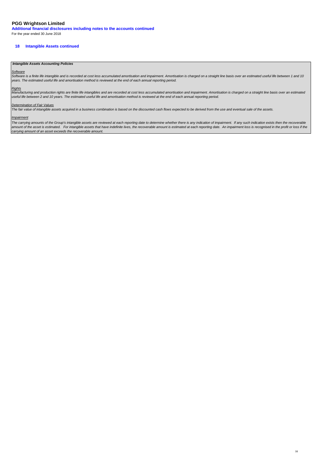**Additional financial disclosures including notes to the accounts continued** For the year ended 30 June 2018

#### **18 Intangible Assets continued**

#### **Intangible Assets Accounting Policies**

Software<br>Software is a finite life intangible and is recorded at cost less accumulated amortisation and impairment. Amortisation is charged on a straight line basis over an estimated useful life between 1 and 10 years. The estimated useful life and amortisation method is reviewed at the end of each annual reporting period.

<u>Rights</u><br>Manufacturing and production rights are finite life intangibles and are recorded at cost less accumulated amortisation and impairment. Amortisation is charged on a straight line basis over an estimated<br>useful life

#### Determination of Fair Values

The fair value of intangible assets acquired in a business combination is based on the discounted cash flows expected to be derived from the use and eventual sale of the assets.

#### **Impairment**

The carrying amounts of the Group's intangible assets are reviewed at each reporting date to determine whether there is any indication of impairment. If any such indication exists then the recoverable Incourtying amounts of the energy of intergration access the construction of example and the profile and the content and the profile of the recoverable amount is estimated at each reporting date. An impairment loss is reco carrying amount of an asset exceeds the recoverable amount.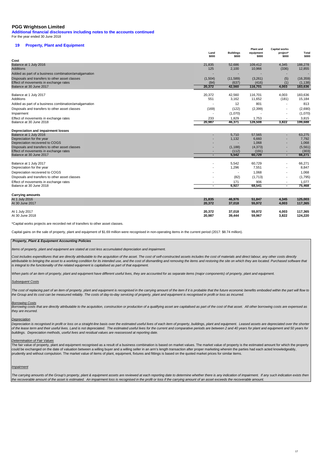**Additional financial disclosures including notes to the accounts continued** For the year ended 30 June 2018

## **19 Property, Plant and Equipment**

|                                                                                         | Land<br>\$000            | <b>Buildings</b><br>\$000 | <b>Plant and</b><br>equipment<br>\$000 | <b>Capital works</b><br>project*<br>\$000 | <b>Total</b><br>\$000 |
|-----------------------------------------------------------------------------------------|--------------------------|---------------------------|----------------------------------------|-------------------------------------------|-----------------------|
| Cost                                                                                    |                          |                           |                                        |                                           |                       |
| Balance at 1 July 2016                                                                  | 21,835                   | 52,686                    | 109,412                                | 4,345                                     | 188,278               |
| <b>Additions</b>                                                                        | 125                      | 2,100                     | 10,966                                 | (336)                                     | 12,855                |
| Added as part of a business combination/amalgamation                                    |                          |                           |                                        |                                           |                       |
| Disposals and transfers to other asset classes                                          | (1,504)                  | (11, 589)                 | (3,261)                                | (5)                                       | (16, 359)             |
| Effect of movements in exchange rates                                                   | (84)                     | (637)                     | (416)                                  | (1)                                       | (1, 138)              |
| Balance at 30 June 2017                                                                 | 20,372                   | 42,560                    | 116,701                                | 4,003                                     | 183,636               |
| Balance at 1 July 2017                                                                  | 20,372                   | 42,560                    | 116.701                                | 4.003                                     | 183,636               |
| <b>Additions</b>                                                                        | 551                      | 3,162                     | 11,652                                 | (181)                                     | 15,184                |
| Added as part of a business combination/amalgamation                                    |                          | 12                        | 801                                    |                                           | 813                   |
| Disposals and transfers to other asset classes                                          | (169)                    | (122)                     | (2,399)                                |                                           | (2,690)               |
| Impairment                                                                              |                          | (1,070)                   |                                        |                                           | (1,070)               |
| Effect of movements in exchange rates                                                   | 233                      | 1,829                     | 1,753                                  |                                           | 3,815                 |
| Balance at 30 June 2018                                                                 | 20,987                   | 46,371                    | 128,508                                | 3,822                                     | 199,688               |
| Depreciation and impairment losses                                                      |                          |                           |                                        |                                           |                       |
| Balance at 1 July 2016                                                                  |                          | 5,710                     | 57,565                                 |                                           | 63,275                |
| Depreciation for the year                                                               |                          | 1,132                     | 6,660                                  |                                           | 7,792                 |
| Depreciation recovered to COGS                                                          |                          |                           | 1,068                                  |                                           | 1,068                 |
| Disposals and transfers to other asset classes<br>Effect of movements in exchange rates |                          | (1, 188)<br>(112)         | (4, 373)<br>(191)                      |                                           | (5, 561)<br>(303)     |
| Balance at 30 June 2017                                                                 | $\overline{\phantom{a}}$ | 5,542                     | 60,729                                 | $\overline{\phantom{a}}$                  | 66,271                |
|                                                                                         |                          |                           |                                        |                                           |                       |
| Balance at 1 July 2017<br>Depreciation for the year                                     |                          | 5.542<br>1,296            | 60,729<br>7,551                        |                                           | 66,271<br>8,847       |
| Depreciation recovered to COGS                                                          |                          |                           | 1,068                                  |                                           | 1,068                 |
|                                                                                         |                          |                           |                                        |                                           |                       |
| Disposals and transfers to other asset classes<br>Effect of movements in exchange rates |                          | (82)<br>171               | (1,713)<br>906                         |                                           | (1,795)<br>1,077      |
| Balance at 30 June 2018                                                                 | $\blacksquare$           | 6,927                     | 68,541                                 | $\overline{\phantom{a}}$                  | 75,468                |
|                                                                                         |                          |                           |                                        |                                           |                       |
| <b>Carrying amounts</b>                                                                 |                          |                           |                                        |                                           |                       |
| At 1 July 2016                                                                          | 21,835                   | 46,976                    | 51,847                                 | 4,345                                     | 125,003               |
| At 30 June 2017                                                                         | 20,372                   | 37,018                    | 55,972                                 | 4,003                                     | 117,365               |
| At 1 July 2017                                                                          | 20,372                   | 37,018                    | 55,972                                 | 4,003                                     | 117,365               |
| At 30 June 2018                                                                         | 20.987                   | 39.444                    | 59.967                                 | 3.822                                     | 124,220               |

\*Capital works projects are recorded net of transfers to other asset classes.

Capital gains on the sale of property, plant and equipment of \$1.69 million were recognised in non-operating items in the current period (2017: \$8.74 million).

#### **Property, Plant & Equipment Accounting Policies**

Items of property, plant and equipment are stated at cost less accumulated depreciation and impairment.

Cost includes expenditures that are directly attributable to the acquisition of the asset. The cost of self-constructed assets includes the cost of materials and direct labour, any other costs directly attributable to bringing the asset to a working condition for its intended use, and the cost of dismantling and removing the items and restoring the site on which they are located. Purchased software that is integral to the functionality of the related equipment is capitalised as part of that equipment.

When parts of an item of property, plant and equipment have different useful lives, they are accounted for as separate items (major components) of property, plant and equipment.

#### Subsequent Costs

The cost of replacing part of an item of property, plant and equipment is recognised in the carrying amount of the item if it is probable that the future economic benefits embodied within the part will flow to the Group and its cost can be measured reliably. The costs of day-to-day servicing of property, plant and equipment is recognised in profit or loss as incurred.

#### Borrowing Costs

Borrowing costs that are directly attributable to the acquisition, construction or production of a qualifying asset are capitalised as part of the cost of that asset. All other borrowing costs are expensed as they are incurred.

#### **Depreciation**

Depreciation is recognised in profit or loss on a straight-line basis over the estimated useful lives of each item of property, buildings, plant and equipment. Leased assets are depreciated over the shorter of the lease term and their useful lives. Land is not depreciated. The estimated useful lives for the current and comparative periods are between 2 and 40 years for plant and equipment and 50 years for buildings. Depreciation methods, useful lives and residual values are reassessed at reporting date.

#### Determination of Fair Values

The fair value of property, plant and equipment recognised as a result of a business combination is based on market values. The market value of property is the estimated amount for which the property could be exchanged on the date of valuation between a willing buyer and a willing seller in an arm's length transaction after proper marketing wherein the parties had each acted knowledgeably, prudently and without compulsion. The market value of items of plant, equipment, fixtures and fittings is based on the quoted market prices for similar items.

#### Impairment

The carrying amounts of the Group's property, plant & equipment assets are reviewed at each reporting date to determine whether there is any indication of impairment. If any such indication exists then the recoverable amount of the asset is estimated. An impairment loss is recognised in the profit or loss if the carrying amount of an asset exceeds the recoverable amount.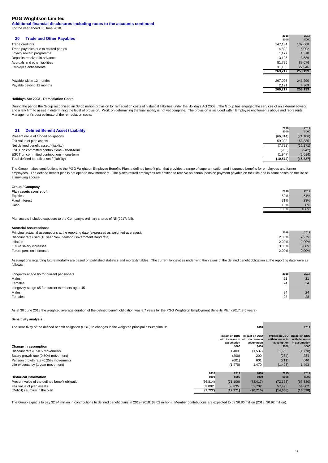**Additional financial disclosures including notes to the accounts continued** For the year ended 30 June 2018

| 147,134<br>132,668<br>Trade creditors<br>Trade payables due to related parties<br>4,822<br>5,002<br>1,177<br>1,318<br>Loyalty reward programme<br>Deposits received in advance<br>3,196<br>3,589<br>Accruals and other liabilities<br>81,725<br>87,676<br>Employee entitlements<br>31,163<br>22,946<br>253,199<br>269,217<br>267,096<br>248,290<br>Payable within 12 months<br>Payable beyond 12 months<br>2,121<br>4,909<br>269,217<br>253,199 | <b>Trade and Other Payables</b><br><b>20</b> | 2018<br>\$000 | 2017<br>\$000 |
|-------------------------------------------------------------------------------------------------------------------------------------------------------------------------------------------------------------------------------------------------------------------------------------------------------------------------------------------------------------------------------------------------------------------------------------------------|----------------------------------------------|---------------|---------------|
|                                                                                                                                                                                                                                                                                                                                                                                                                                                 |                                              |               |               |
|                                                                                                                                                                                                                                                                                                                                                                                                                                                 |                                              |               |               |
|                                                                                                                                                                                                                                                                                                                                                                                                                                                 |                                              |               |               |
|                                                                                                                                                                                                                                                                                                                                                                                                                                                 |                                              |               |               |
|                                                                                                                                                                                                                                                                                                                                                                                                                                                 |                                              |               |               |
|                                                                                                                                                                                                                                                                                                                                                                                                                                                 |                                              |               |               |
|                                                                                                                                                                                                                                                                                                                                                                                                                                                 |                                              |               |               |
|                                                                                                                                                                                                                                                                                                                                                                                                                                                 |                                              |               |               |
|                                                                                                                                                                                                                                                                                                                                                                                                                                                 |                                              |               |               |
|                                                                                                                                                                                                                                                                                                                                                                                                                                                 |                                              |               |               |
|                                                                                                                                                                                                                                                                                                                                                                                                                                                 |                                              |               |               |

#### **Holidays Act 2003 - Remediation Costs**

During the period the Group recognised an \$8.06 million provision for remediation costs of historical liabilities under the Holidays Act 2003. The Group has engaged the services of an external advisor and a law firm to assist in determining the level of provision. Work on determining the final liability is not yet complete. The provision is included within Employee entitlements above and represents<br>Management's best est

| <b>Defined Benefit Asset / Liability</b><br>21 | 2018<br>\$000 | 2017<br>\$000 |
|------------------------------------------------|---------------|---------------|
| Present value of funded obligations            | (66, 814)     | (71, 106)     |
| Fair value of plan assets                      | 59.092        | 58.835        |
| Net defined benefit asset / (liability)        | (7.722)       | (12, 271)     |
| ESCT on committed contributions - short-term   | (905)         | (942)         |
| ESCT on committed contributions - long-term    | (1, 947)      | (2,614)       |
| Total defined benefit asset / (liability)      | (10, 574)     | (15, 827)     |

The Group makes contributions to the PGG Wrightson Employee Benefits Plan, a defined benefit plan that provides a range of superannuation and insurance benefits for employees and former employees. The defined benefit plan is not open to new members. The plan's retired employees are entitled to receive an annual pension payment payable on their life and in some cases on the life of a surviving spouse.

| Group / Company |  |  |
|-----------------|--|--|
| .               |  |  |

| Plan assets consist of: | 2018 | 2017 |
|-------------------------|------|------|
| Equities                | 59%  | 64%  |
| Fixed interest          | 31%  | 28%  |
| Cash                    | 10%  | 8%   |
|                         | 100% | 100% |
|                         |      |      |

Plan assets included exposure to the Company's ordinary shares of Nil (2017: Nil).

#### **Actuarial Assumptions:**

| Principal actuarial assumptions at the reporting date (expressed as weighted averages): | 2017<br>2018 |
|-----------------------------------------------------------------------------------------|--------------|
| 2.85%<br>Discount rate used (10 year New Zealand Government Bond rate)                  | 2.97%        |
| 2.00%<br>Inflation                                                                      | 2.00%        |
| 3.00%<br>Future salary increases                                                        | 3.00%        |
| 2.00%<br>Future pension increases                                                       | 2.00%        |

Assumptions regarding future mortality are based on published statistics and mortality tables. The current longevities underlying the values of the defined benefit obligation at the reporting date were as follows:

| Longevity at age 65 for current pensioners      | 2018 | 2017 |
|-------------------------------------------------|------|------|
| Males                                           | 21   | 21   |
| Females                                         | 24   | 24   |
| Longevity at age 65 for current members aged 45 |      |      |
| Males                                           | 24   | 24   |
| Females                                         | 28   | 28   |

As at 30 June 2018 the weighted average duration of the defined benefit obligation was 8.7 years for the PGG Wrightson Employment Benefits Plan (2017: 8.5 years).

#### **Sensitivity analysis**

The sensitivity of the defined benefit obligation (DBO) to changes in the weighted principal assumption is: **2018** 2018 **2018** 2018

| Change in assumption                            |           | Impact on DBO<br>assumption<br>\$000 | Impact on DBO<br>with increase in with decrease in<br>assumption<br>\$000 | Impact on DBO Impact on DBO<br>with increase in<br>assumption<br>\$000 | with decrease<br>in assumption<br>\$000 |
|-------------------------------------------------|-----------|--------------------------------------|---------------------------------------------------------------------------|------------------------------------------------------------------------|-----------------------------------------|
| Discount rate (0.50% movement)                  |           | 1,403                                | (1,537)                                                                   | 1,635                                                                  | (1,778)                                 |
| Salary growth rate (0.50% movement)             |           | (200)                                | 200                                                                       | (284)                                                                  | 284                                     |
| Pension growth rate (0.25% movement)            |           | (601)                                | 601                                                                       | (711)                                                                  | 640                                     |
| Life expectancy (1 year movement)               |           | (1,470)                              | 1,470                                                                     | (1, 493)                                                               | 1,493                                   |
|                                                 | 2018      | 2017                                 | 2016                                                                      | 2015                                                                   | 2014                                    |
| <b>Historical information</b>                   | \$000     | \$000                                | \$000                                                                     | \$000                                                                  | \$000                                   |
| Present value of the defined benefit obligation | (66, 814) | (71, 106)                            | (73, 417)                                                                 | (72, 153)                                                              | (68, 330)                               |
| Fair value of plan assets                       | 59,092    | 58,835                               | 52,702                                                                    | 57,498                                                                 | 54,802                                  |
| (Deficit) / surplus in the plan                 | (7, 722)  | (12, 271)                            | (20, 715)                                                                 | (14, 655)                                                              | (13, 528)                               |

The Group expects to pay \$2.94 million in contributions to defined benefit plans in 2019 (2018: \$3.02 million). Member contributions are expected to be \$0.86 million (2018: \$0.92 million).

**2018**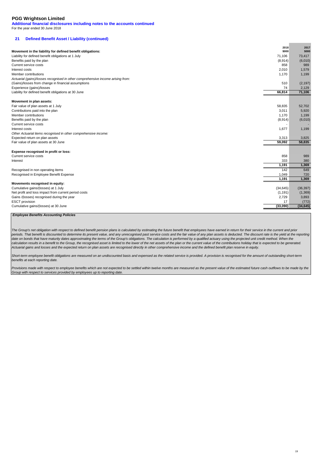**Additional financial disclosures including notes to the accounts continued** For the year ended 30 June 2018

## **21 Defined Benefit Asset / Liability (continued)**

|                                                                                 | 2018      | 2017      |
|---------------------------------------------------------------------------------|-----------|-----------|
| Movement in the liability for defined benefit obligations:                      | \$000     | \$000     |
| Liability for defined benefit obligations at 1 July                             | 71,106    | 73,417    |
| Benefits paid by the plan                                                       | (8,914)   | (6,010)   |
| Current service costs                                                           | 858       | 989       |
| Interest costs                                                                  | 2,010     | 1,579     |
| Member contributions                                                            | 1,170     | 1,199     |
| Actuarial (gains)/losses recognised in other comprehensive income arising from: |           |           |
| (Gains)/losses from change in financial assumptions                             | 510       | (2, 197)  |
| Experience (gains)/losses                                                       | 74        | 2,129     |
| Liability for defined benefit obligations at 30 June                            | 66,814    | 71,106    |
| Movement in plan assets:                                                        |           |           |
| Fair value of plan assets at 1 July                                             | 58,835    | 52,702    |
| Contributions paid into the plan                                                | 3,011     | 5,920     |
| Member contributions                                                            | 1,170     | 1,199     |
| Benefits paid by the plan                                                       | (8,914)   | (6,010)   |
| Current service costs                                                           |           |           |
| Interest costs                                                                  | 1,677     | 1,199     |
| Other Actuarial items recognised in other comprehensive income:                 |           |           |
| Expected return on plan assets                                                  | 3,313     | 3,825     |
| Fair value of plan assets at 30 June                                            | 59,092    | 58,835    |
| Expense recognised in profit or loss:                                           |           |           |
| Current service costs                                                           | 858       | 989       |
| Interest                                                                        | 333       | 380       |
|                                                                                 | 1,191     | 1,369     |
| Recognised in non operating items                                               | 142       | 649       |
| Recognised in Employee Benefit Expense                                          | 1,049     | 720       |
|                                                                                 | 1.191     | 1,369     |
| Movements recognised in equity:                                                 |           |           |
| Cumulative gains/(losses) at 1 July                                             | (34, 645) | (36, 397) |
| Net profit and loss impact from current period costs                            | (1, 191)  | (1, 369)  |
| Gains /(losses) recognised during the year                                      | 2,729     | 3,893     |
| <b>ESCT</b> provision                                                           | 17        | (772)     |
| Cumulative gains/(losses) at 30 June                                            | (33,090)  | (34, 645) |

#### **Employee Benefits Accounting Policies**

The Group's net obligation with respect to defined benefit pension plans is calculated by estimating the future benefit that employees have earned in return for their service in the current and prior periods. That benefit is discounted to determine its present value, and any unrecognised past service costs and the fair value of any plan assets is deducted. The discount rate is the yield at the reporting .<br>date on bonds that have maturity dates approximating the terms of the Group's obligations. The calculation is performed by a qualified actuary using the projected unit credit method. When the calculation results in a benefit to the Group, the recognised asset is limited to the lower of the net assets of the plan or the current value of the contributions holiday that is expected to be generated.<br>Actuarial gains

Short-term employee benefit obligations are measured on an undiscounted basis and expensed as the related service is provided. A provision is recognised for the amount of outstanding short-term benefits at each reporting date.

Provisions made with respect to employee benefits which are not expected to be settled within twelve months are measured as the present value of the estimated future cash outflows to be made by the Group with respect to services provided by employees up to reporting date.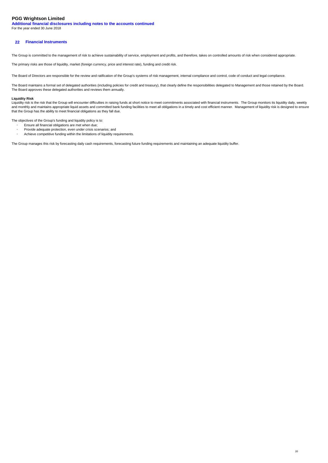**Additional financial disclosures including notes to the accounts continued** For the year ended 30 June 2018

#### **22 Financial Instruments**

The Group is committed to the management of risk to achieve sustainability of service, employment and profits, and therefore, takes on controlled amounts of risk when considered appropriate.

The primary risks are those of liquidity, market (foreign currency, price and interest rate), funding and credit risk.

The Board of Directors are responsible for the review and ratification of the Group's systems of risk management, internal compliance and control, code of conduct and legal compliance.

The Board maintains a formal set of delegated authorities (including policies for credit and treasury), that clearly define the responsibilities delegated to Management and those retained by the Board. The Board approves these delegated authorities and reviews them annually.

#### **Liquidity Risk**

-

-

Liquidity risk is the risk that the Group will encounter difficulties in raising funds at short notice to meet commitments associated with financial instruments. The Group monitors its liquidity daily, weekly<br>and monthly a that the Group has the ability to meet financial obligations as they fall due.

The objectives of the Group's funding and liquidity policy is to:

- Ensure all financial obligations are met when due;
- Provide adequate protection, even under crisis scenarios; and Achieve competitive funding within the limitations of liquidity requirements.

The Group manages this risk by forecasting daily cash requirements, forecasting future funding requirements and maintaining an adequate liquidity buffer.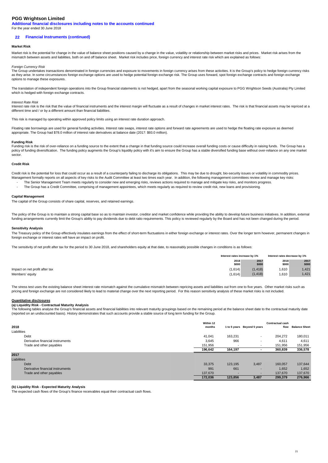**Additional financial disclosures including notes to the accounts continued** For the year ended 30 June 2018

#### **22 Financial Instruments (continued)**

#### **Market Risk**

Market risk is the potential for change in the value of balance sheet positions caused by a change in the value, volatility or relationship between market risks and prices. Market risk arises from the mismatch between assets and liabilities, both on and off balance sheet. Market risk includes price, foreign currency and interest rate risk which are explained as follows:

#### Foreign Currency Risk

The Group undertakes transactions denominated in foreign currencies and exposure to movements in foreign currency arises from these activities. It is the Group's policy to hedge foreign currency risks as they arise. In some circumstances foreign exchange options are used to hedge potential foreign exchange risk. The Group uses forward, spot foreign exchange contracts and foreign exchange options to manage these exposures.

The translation of independent foreign operations into the Group financial statements is not hedged, apart from the seasonal working capital exposure to PGG Wrightson Seeds (Australia) Pty Limited which is hedged with foreign exchange contracts.

#### Interest Rate Risk

Interest rate risk is the risk that the value of financial instruments and the interest margin will fluctuate as a result of changes in market interest rates. The risk is that financial assets may be repriced at a different time and / or by a different amount than financial liabilities.

This risk is managed by operating within approved policy limits using an interest rate duration approach.

Floating rate borrowings are used for general funding activities. Interest rate swaps, interest rate options and forward rate agreements are used to hedge the floating rate exposure as deemed appropriate. The Group had \$78.0 million of interest rate derivatives at balance date (2017: \$93.0 million).

#### **Funding Risk**

Funding risk is the risk of over-reliance on a funding source to the extent that a change in that funding source could increase overall funding costs or cause difficulty in raising funds. The Group has a policy of funding diversification. The funding policy augments the Group's liquidity policy with it's aim to ensure the Group has a stable diversified funding base without over-reliance on any one market sector.

#### **Credit Risk**

- Credit risk is the potential for loss that could occur as a result of a counterparty failing to discharge its obligations. This may be due to drought, bio-security issues or volatility in commodity prices. Management formally reports on all aspects of key risks to the Audit Committee at least two times each year. In addition, the following management committees review and manage key risks: The Senior Management Team meets regularly to consider new and emerging risks, reviews actions required to manage and mitigate key risks, and monitors progress.

- The Group has a Credit Committee, comprising of management appointees, which meets regularly as required to review credit risk, new loans and provisioning.

#### **Capital Management**

The capital of the Group consists of share capital, reserves, and retained earnings.

The policy of the Group is to maintain a strong capital base so as to maintain investor, creditor and market confidence while providing the ability to develop future business initiatives. In addition, external funding arrangements currently limit the Group's ability to pay dividends due to debt ratio requirements. This policy is reviewed regularly by the Board and has not been changed during the period.

#### **Sensitivity Analysis**

The Treasury policy of the Group effectively insulates earnings from the effect of short-term fluctuations in either foreign exchange or interest rates. Over the longer term however, permanent changes in foreign exchange or interest rates will have an impact on profit.

The sensitivity of net profit after tax for the period to 30 June 2018, and shareholders equity at that date, to reasonably possible changes in conditions is as follows:

|                                | Interest rates increase by 1% |          | Interest rates decrease by 1% |       |  |
|--------------------------------|-------------------------------|----------|-------------------------------|-------|--|
|                                | 2018                          | 2017     | 2018                          | 2017  |  |
|                                | \$000                         | \$000    | \$000                         | \$000 |  |
| Impact on net profit after tax | (1.614)                       | (1, 418) | 1,610                         | 1.421 |  |
| Members' equity                | (1,614)                       | (1.418)  | 1,610                         | 1.421 |  |

The stress test uses the existing balance sheet interest rate mismatch against the cumulative mismatch between repricing assets and liabilities out from one to five years. Other market risks such as pricing and foreign exchange are not considered likely to lead to material change over the next reporting period. For this reason sensitivity analysis of these market risks is not included.

#### **Quantitative disclosures**

#### **(a) Liquidity Risk - Contractual Maturity Analysis**

The following tables analyse the Group's financial assets and financial liabilities into relevant maturity groupings based on the remaining period at the balance sheet date to the contractual maturity date (reported on an undiscounted basis). History demonstrates that such accounts provide a stable source of long term funding for the Group.

| 2018                             | Within 12<br>months |         | 1 to 5 years Beyond 5 years | <b>Contractual cash</b><br>flow | <b>Balance Sheet</b> |
|----------------------------------|---------------------|---------|-----------------------------|---------------------------------|----------------------|
| Liabilities                      |                     |         |                             |                                 |                      |
| Debt                             | 41.041              | 163,231 | $\overline{\phantom{a}}$    | 204.272                         | 180,011              |
| Derivative financial instruments | 3,645               | 966     |                             | 4,611                           | 4,611                |
| Trade and other payables         | 151,956             |         | $\overline{\phantom{a}}$    | 151,956                         | 151,956              |
|                                  | 196,642             | 164,197 |                             | 360,839                         | 336,578              |
| 2017                             |                     |         |                             |                                 |                      |
| Liabilities                      |                     |         |                             |                                 |                      |
| Debt                             | 33,375              | 123,195 | 3,487                       | 160.057                         | 137,644              |
| Derivative financial instruments | 991                 | 661     | $\sim$                      | 1,652                           | 1,652                |
| Trade and other payables         | 137,670             |         | $\overline{\phantom{a}}$    | 137.670                         | 137,670              |
|                                  | 172,036             | 123,856 | 3,487                       | 299,379                         | 276,966              |

#### **(b) Liquidity Risk - Expected Maturity Analysis**

The expected cash flows of the Group's finance receivables equal their contractual cash flows.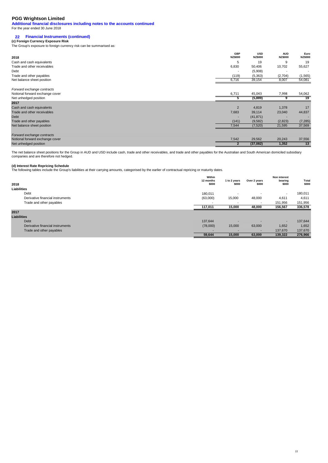**Additional financial disclosures including notes to the accounts continued** For the year ended 30 June 2018

# **22 Financial Instruments (continued) (c) Foreign Currency Exposure Risk**

The Group's exposure to foreign currency risk can be summarised as:

| 2018                            | <b>GBP</b><br><b>NZ\$000</b> | <b>USD</b><br><b>NZ\$000</b> | <b>AUD</b><br><b>NZ\$000</b> | Euro<br><b>NZ\$000</b>   |
|---------------------------------|------------------------------|------------------------------|------------------------------|--------------------------|
| Cash and cash equivalents       | 5                            | 19                           | 9                            | 19                       |
| Trade and other receivables     | 6,830                        | 50,406                       | 10,702                       | 55,627                   |
| Debt                            |                              | (5,908)                      |                              | $\overline{\phantom{a}}$ |
| Trade and other payables        | (119)                        | (5, 363)                     | (2,704)                      | (1, 565)                 |
| Net balance sheet position      | 6,716                        | 39,154                       | 8,007                        | 54,081                   |
| Forward exchange contracts      |                              |                              |                              |                          |
| Notional forward exchange cover | 6,711                        | 45,043                       | 7,998                        | 54,062                   |
| Net unhedged position           |                              | (5,889)                      |                              | 19                       |
| 2017                            |                              |                              |                              |                          |
| Cash and cash equivalents       | $\overline{2}$               | 4,819                        | 1,378                        | 17                       |
| Trade and other receivables     | 7,683                        | 39,114                       | 23,040                       | 44,837                   |
| Debt                            |                              | (41, 871)                    |                              |                          |
| Trade and other payables        | (141)                        | (9, 582)                     | (2,823)                      | (7, 285)                 |
| Net balance sheet position      | 7,544                        | (7,520)                      | 21,595                       | 37,569                   |
| Forward exchange contracts      |                              |                              |                              |                          |
| Notional forward exchange cover | 7,542                        | 29,562                       | 20,243                       | 37,556                   |
| Net unhedged position           |                              | (37,082)                     | 1,352                        | 13                       |

The net balance sheet positions for the Group in AUD and USD include cash, trade and other receivables, and trade and other payables for the Australian and South American domiciled subsidiary companies and are therefore not hedged.

**(d) Interest Rate Repricing Schedule** The following tables include the Group's liabilities at their carrying amounts, categorised by the earlier of contractual repricing or maturity dates.

| 2018                             | Within<br>12 months<br>\$000 | 1 to 2 years<br>\$000    | Over 2 years<br>\$000    | Non interest<br>bearing<br>\$000 | Total<br>\$000 |
|----------------------------------|------------------------------|--------------------------|--------------------------|----------------------------------|----------------|
| Liabilities                      |                              |                          |                          |                                  |                |
| Debt                             | 180,011                      | $\overline{\phantom{a}}$ |                          | $\overline{\phantom{a}}$         | 180,011        |
| Derivative financial instruments | (63,000)                     | 15,000                   | 48,000                   | 4,611                            | 4,611          |
| Trade and other payables         | $\overline{\phantom{a}}$     | $\overline{\phantom{a}}$ | $\overline{\phantom{0}}$ | 151,956                          | 151,956        |
|                                  | 117,011                      | 15,000                   | 48,000                   | 156,567                          | 336,578        |
| 2017                             |                              |                          |                          |                                  |                |
| <b>Liabilities</b>               |                              |                          |                          |                                  |                |
| Debt                             | 137,644                      |                          |                          | $\overline{\phantom{a}}$         | 137,644        |
| Derivative financial instruments | (78,000)                     | 15,000                   | 63,000                   | 1,652                            | 1,652          |
| Trade and other payables         | $\overline{\phantom{a}}$     |                          | $\overline{\phantom{a}}$ | 137,670                          | 137,670        |
|                                  | 59,644                       | 15,000                   | 63,000                   | 139,322                          | 276,966        |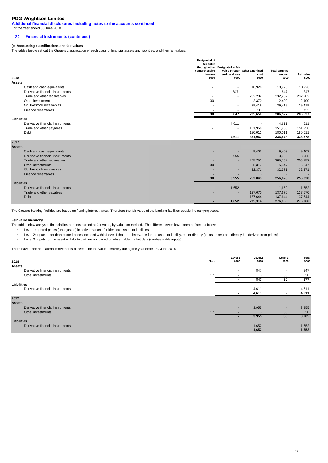**Additional financial disclosures including notes to the accounts continued**

## For the year ended 30 June 2018

## **22 Financial Instruments (continued)**

#### **(e) Accounting classifications and fair values**

The tables below set out the Group's classification of each class of financial assets and liabilities, and their fair values.

|                    |                                  | <b>Designated at</b><br>fair value<br>comprehensive<br>income | through other Designated at fair<br>profit and loss | value through Other amortised<br>cost | <b>Total carrying</b><br>amount | Fair value |
|--------------------|----------------------------------|---------------------------------------------------------------|-----------------------------------------------------|---------------------------------------|---------------------------------|------------|
| 2018               |                                  | \$000                                                         | \$000                                               | \$000                                 | \$000                           | \$000      |
| <b>Assets</b>      |                                  |                                                               |                                                     |                                       |                                 |            |
|                    | Cash and cash equivalents        | $\overline{\phantom{a}}$                                      |                                                     | 10,926                                | 10,926                          | 10,926     |
|                    | Derivative financial instruments |                                                               | 847                                                 |                                       | 847                             | 847        |
|                    | Trade and other receivables      |                                                               |                                                     | 232,202                               | 232,202                         | 232,202    |
|                    | Other investments                | 30                                                            | $\overline{\phantom{a}}$                            | 2,370                                 | 2,400                           | 2,400      |
|                    | Go livestock receivables         | $\overline{\phantom{a}}$                                      |                                                     | 39,419                                | 39,419                          | 39,419     |
|                    | Finance receivables              |                                                               |                                                     | 733                                   | 733                             | 733        |
|                    |                                  | 30                                                            | 847                                                 | 285,650                               | 286,527                         | 286,527    |
| Liabilities        |                                  |                                                               |                                                     |                                       |                                 |            |
|                    | Derivative financial instruments |                                                               | 4,611                                               | $\overline{\phantom{a}}$              | 4,611                           | 4,611      |
|                    | Trade and other payables         |                                                               | $\overline{\phantom{a}}$                            | 151,956                               | 151,956                         | 151,956    |
|                    | Debt                             |                                                               |                                                     | 180,011                               | 180,011                         | 180,011    |
|                    |                                  | $\blacksquare$                                                | 4.611                                               | 331,967                               | 336,578                         | 336,578    |
| 2017               |                                  |                                                               |                                                     |                                       |                                 |            |
| <b>Assets</b>      |                                  |                                                               |                                                     |                                       |                                 |            |
|                    | Cash and cash equivalents        |                                                               |                                                     | 9,403                                 | 9,403                           | 9,403      |
|                    | Derivative financial instruments | ٠                                                             | 3,955                                               |                                       | 3,955                           | 3,955      |
|                    | Trade and other receivables      |                                                               |                                                     | 205,752                               | 205,752                         | 205,752    |
|                    | Other investments                | 30                                                            | $\overline{\phantom{a}}$                            | 5,317                                 | 5,347                           | 5,347      |
|                    | Go livestock receivables         |                                                               | $\overline{\phantom{0}}$                            | 32,371                                | 32,371                          | 32,371     |
|                    | Finance receivables              |                                                               |                                                     |                                       |                                 |            |
|                    |                                  | 30                                                            | 3,955                                               | 252,843                               | 256,828                         | 256,828    |
| <b>Liabilities</b> |                                  |                                                               |                                                     |                                       |                                 |            |
|                    | Derivative financial instruments |                                                               | 1,652                                               |                                       | 1,652                           | 1,652      |
|                    | Trade and other payables         |                                                               | <b>.</b>                                            | 137,670                               | 137,670                         | 137,670    |
|                    | Debt                             |                                                               |                                                     | 137,644                               | 137,644                         | 137,644    |
|                    |                                  | ۰                                                             | 1,652                                               | 275,314                               | 276,966                         | 276,966    |

The Group's banking facilities are based on floating interest rates. Therefore the fair value of the banking facilities equals the carrying value.

#### **Fair value hierarchy**

The table below analyses financial instruments carried at fair value, by valuation method. The different levels have been defined as follows:

- Level 1: quoted prices (unadjusted) in active markets for identical assets or liabilities
- Level 2: inputs other than quoted prices included within Level 1 that are observable for the asset or liability, either directly (ie. as prices) or indirectly (ie. derived from prices)

- Level 3: inputs for the asset or liability that are not based on observable market data (unobservable inputs)

There have been no material movements between the fair value hierarchy during the year ended 30 June 2018.

| 2018               |                                  | Note | Level 1<br>\$000         | Level 2<br>\$000         | Level 3<br>\$000         | <b>Total</b><br>\$000 |
|--------------------|----------------------------------|------|--------------------------|--------------------------|--------------------------|-----------------------|
| <b>Assets</b>      | Derivative financial instruments |      | $\overline{\phantom{a}}$ | 847                      |                          | 847                   |
|                    | Other investments                | 17   | $\overline{\phantom{a}}$ | $\overline{\phantom{a}}$ | 30                       | 30                    |
|                    |                                  |      |                          | 847                      | 30                       | 877                   |
| Liabilities        |                                  |      |                          |                          |                          |                       |
|                    | Derivative financial instruments |      | $\overline{\phantom{a}}$ | 4,611                    |                          | 4,611                 |
|                    |                                  |      |                          | 4,611                    |                          | 4,611                 |
| 2017               |                                  |      |                          |                          |                          |                       |
| <b>Assets</b>      |                                  |      |                          |                          |                          |                       |
|                    | Derivative financial instruments |      | $\overline{\phantom{a}}$ | 3,955                    |                          | 3,955                 |
|                    | Other investments                | 17   | -                        |                          | 30                       | 30                    |
|                    |                                  |      |                          | 3,955                    | 30                       | 3,985                 |
| <b>Liabilities</b> |                                  |      |                          |                          |                          |                       |
|                    | Derivative financial instruments |      | $\overline{\phantom{a}}$ | 1,652                    | $\overline{\phantom{a}}$ | 1,652                 |
|                    |                                  |      |                          | 1,652                    |                          | 1,652                 |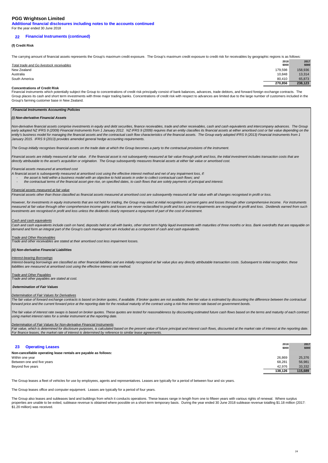**Additional financial disclosures including notes to the accounts continued**

## For the year ended 30 June 2018

#### **22 Financial Instruments (continued)**

#### **(f) Credit Risk**

The carrying amount of financial assets represents the Group's maximum credit exposure. The Group's maximum credit exposure to credit risk for receivables by geographic regions is as follows:

| Total trade and Go livestock receivables | 2018<br>\$000 | 2017<br>\$000 |
|------------------------------------------|---------------|---------------|
| New Zealand                              | 179,598       | 158,936       |
| Australia                                | 10.848        | 13,314        |
| South America                            | 80.410        | 65,873        |
|                                          | 270,856       | 238,123       |

#### **Concentrations of Credit Risk**

Financial instruments which potentially subject the Group to concentrations of credit risk principally consist of bank balances, advances, trade debtors, and forward foreign exchange contracts. The Group places its cash and short term investments with three major trading banks. Concentrations of credit risk with respect to advances are limited due to the large number of customers included in the Group's farming customer base in New Zealand.

#### **Financial Instruments Accounting Policies**

#### **(i) Non-derivative Financial Assets**

Non-derivative financial assets comprise investments in equity and debt securities, finance receivables, trade and other receivables, cash and cash equivalents and intercompany advances. The Group early adopted NZ IFRS 9 (2009) Financial Instruments from 1 January 2012. NZ IFRS 9 (2009) requires that an entity classifies its financial assets at either amortised cost or fair value depending on the entity's business model for managing the financial assets and the contractual cash flow characteristics of the financial assets. The Group early adopted IFRS 9 (2013) Financial Instruments from 1 January 2015. IFRS 9 (2013) provides amended general hedge accounting requirements.

The Group initially recognises financial assets on the trade date at which the Group becomes a party to the contractual provisions of the instrument

Financial assets are initially measured at fair value. If the financial asset is not subsequently measured at fair value through profit and loss, the initial investment includes transaction costs that are directly attributable to the asset's acquisition or origination. The Group subsequently measures financial assets at either fair value or amortised cost.

Financial assets measured at amortised cost

A financial asset is subsequently measured at amortised cost using the effective interest method and net of any impairment loss, if:

the asset is held within a business model with an objective to hold assets in order to collect contractual cash flows; and

the contractual terms of the financial asset give rise, on specified dates, to cash flows that are solely payments of principal and interest.

#### Financial assets measured at fair value

Financial assets other than those classified as financial assets measured at amortised cost are subsequently measured at fair value with all changes recognised in profit or loss.

However, for investments in equity instruments that are not held for trading, the Group may elect at initial recognition to present gains and losses through other comprehensive income. For instruments measured at fair value through other comprehensive income gains and losses are never reclassified to profit and loss and no impairments are recognised in profit and loss. Dividends earned from such investments are recognised in profit and loss unless the dividends clearly represent a repayment of part of the cost of investment.

#### Cash and cash equivalents

Cash and cash equivalents include cash on hand, deposits held at call with banks, other short term highly liquid investments with maturities of three months or less. Bank overdrafts that are repayable on demand and form an integral part of the Group's cash management are included as a component of cash and cash equivalents.

#### Trade and Other Receivables

Trade and other receivables are stated at their amortised cost less impairment losses.

#### **(ii) Non-derivative Financial Liabilities**

#### Interest-bearing Borrowings

Interest-bearing borrowings are classified as other financial liabilities and are initially recognised at fair value plus any directly attributable transaction costs. Subsequent to initial recognition, these liabilities are measured at amortised cost using the effective interest rate method.

**Trade and Other Payables** 

Trade and other payables are stated at cost.

#### **Determination of Fair Values**

#### Determination of Fair Values for Derivatives

The fair value of forward exchange contracts is based on broker quotes, if available. If broker quotes are not available, then fair value is estimated by discounting the difference between the contractual forward price and the current forward price at the reporting date for the residual maturity of the contract using a risk-free interest rate based on government bonds.

The fair value of interest rate swaps is based on broker quotes. These quotes are tested for reasonableness by discounting estimated future cash flows based on the terms and maturity of each contract using market interest rates for a similar instrument at the reporting date.

#### Determination of Fair Values for Non-derivative Financial Instruments

Fair value, which is determined for disclosure purposes, is calculated based on the present value of future principal and interest cash flows, discounted at the market rate of interest at the reporting date. For finance leases, the market rate of interest is determined by reference to similar lease agreements.

|                                                                 | 2018    | 2017    |
|-----------------------------------------------------------------|---------|---------|
| <b>Operating Leases</b><br>23                                   | \$000   | \$000   |
| Non-cancellable operating lease rentals are payable as follows: |         |         |
| Within one year                                                 | 26.869  | 25,376  |
| Between one and five years                                      | 68,281  | 56,981  |
| Beyond five years                                               | 42.976  | 33.332  |
|                                                                 | 138.126 | 115,689 |

The Group leases a fleet of vehicles for use by employees, agents and representatives. Leases are typically for a period of between four and six years.

The Group leases office and computer equipment. Leases are typically for a period of four years.

The Group also leases and subleases land and buildings from which it conducts operations. These leases range in length from one to fifteen years with various rights of renewal. Where surplus properties are unable to be exited, sublease revenue is obtained where possible on a short-term temporary basis. During the year ended 30 June 2018 sublease revenue totalling \$1.18 million (2017: \$1.20 million) was received.

**2017**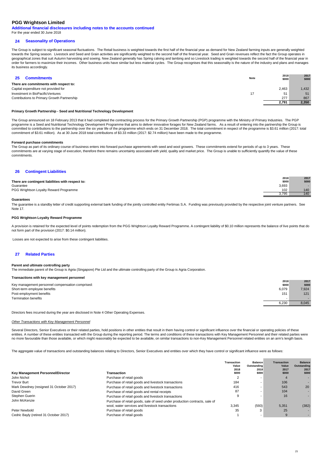**Additional financial disclosures including notes to the accounts continued** For the year ended 30 June 2018

#### **24 Seasonality of Operations**

The Group is subject to significant seasonal fluctuations. The Retail business is weighted towards the first half of the financial year as demand for New Zealand farming inputs are generally weighted towards the Spring season. Livestock and Seed and Grain activities are significantly weighted to the second half of the financial year. Seed and Grain revenues reflect the fact the Group operates in geographical zones that suit Autumn harvesting and sowing. New Zealand generally has Spring calving and lambing and so Livestock trading is weighted towards the second half of the financial year in order for farmers to maximize their incomes. Other business units have similar but less material cycles. The Group recognises that this seasonality is the nature of the industry and plans and manages its business accordingly.

| <b>Commitments</b>                          | Note | 2018<br>\$000 | 2017<br>\$000 |
|---------------------------------------------|------|---------------|---------------|
| There are commitments with respect to:      |      |               |               |
| Capital expenditure not provided for        |      | 2,463         | 1.432         |
| Investment in BioPacificVentures            | 17   | 51            | 51            |
| Contributions to Primary Growth Partnership |      | 277           | 867           |
|                                             |      | 2.791         | 2.350         |

#### **Primary Growth Partnership - Seed and Nutritional Technology Development**

The Group announced on 18 February 2013 that it had completed the contracting process for the Primary Growth Partnership (PGP) programme with the Ministry of Primary Industries. The PGP programme is a Seed and Nutritional Technology Development Programme that aims to deliver innovative forages for New Zealand farms. As a result of entering into the partnership the Group is committed to contributions to the partnership over the six year life of the programme which ends on 31 December 2018. The total commitment in respect of the programme is \$3.61 million (2017: total commitment of \$3.61 million). As at 30 June 2018 total contributions of \$3.33 million (2017: \$2.74 million) have been made to the programme.

#### **Forward purchase commitments**

The Group as part of its ordinary course of business enters into forward purchase agreements with seed and wool growers. These commitments extend for periods of up to 3 years. These commitments are at varying stage of execution, therefore there remains uncertainty associated with yield, quality and market price. The Group is unable to sufficiently quantify the value of these commitments.

#### **26 Contingent Liabilities**

|                                                   | 2018  | 2017  |
|---------------------------------------------------|-------|-------|
| There are contingent liabilities with respect to: | \$000 | \$000 |
| Guarantee                                         | 3,693 |       |
| PGG Wrightson Loyalty Reward Programme            | 102   | 140   |
|                                                   | 3.795 | 140   |

#### **Guarantees**

The guarantee is a standby letter of credit supporting external bank funding of the jointly controlled entity Fertimas S.A. Funding was previously provided by the respective joint venture partners. See Note 17.

#### **PGG Wrightson Loyalty Reward Programme**

A provision is retained for the expected level of points redemption from the PGG Wrightson Loyalty Reward Programme. A contingent liability of \$0.10 million represents the balance of live points that do not form part of the provision (2017: \$0.14 million).

Losses are not expected to arise from these contingent liabilities.

#### **27 Related Parties**

#### **Parent and ultimate controlling party**

The immediate parent of the Group is Agria (Singapore) Pte Ltd and the ultimate controlling party of the Group is Agria Corporation.

#### **Transactions with key management personnel**

| Key management personnel compensation comprised: | 2018<br>\$000 | 2017<br>\$000 |
|--------------------------------------------------|---------------|---------------|
| Short-term employee benefits                     | 6,079         | 7,924         |
| Post-employment benefits                         | 151           | 121           |
| <b>Termination benefits</b>                      |               |               |
|                                                  | 6,230         | 8,045         |
|                                                  |               |               |

Directors fees incurred during the year are disclosed in Note 4 Other Operating Expenses.

#### Other Transactions with Key Management Personnel

Several Directors, Senior Executives or their related parties, hold positions in other entities that result in them having control or significant influence over the financial or operating policies of these entities. A number of these entities transacted with the Group during the reporting period. The terms and conditions of these transactions with Key Management Personnel and their related parties were no more favourable than those available, or which might reasonably be expected to be available, on similar transactions to non-Key Management Personnel related entities on an arm's length basis.

The aggregate value of transactions and outstanding balances relating to Directors, Senior Executives and entities over which they have control or significant influence were as follows:

| Key Management Personnel/Director       | Transaction                                                                | <b>Transaction</b><br>Value<br>2018<br>\$000 | <b>Balance</b><br>Outstanding<br>2018<br>\$000 | <b>Transaction</b><br>Value<br>2017<br>\$000 | <b>Balance</b><br>Outstanding<br>2017<br>\$000 |
|-----------------------------------------|----------------------------------------------------------------------------|----------------------------------------------|------------------------------------------------|----------------------------------------------|------------------------------------------------|
| John Nichol                             | Purchase of retail goods                                                   |                                              |                                                |                                              |                                                |
| <b>Trevor Burt</b>                      | Purchase of retail goods and livestock transactions                        | 184                                          | -                                              | 106                                          |                                                |
| Mark Dewdney (resigned 31 October 2017) | Purchase of retail goods and livestock transactions                        | 416                                          |                                                | 543                                          | 20                                             |
| David Green                             | Purchase of retail goods and rental receipts                               | 87                                           |                                                | 104                                          |                                                |
| Stephen Guerin                          | Purchase of retail goods and livestock transactions                        |                                              |                                                | 16                                           |                                                |
| John McKenzie                           | Purchase of retail goods, sale of seed under production contracts, sale of |                                              |                                                |                                              |                                                |
|                                         | wool, water services and livestock transactions                            | 3.345                                        | (593)                                          | 5.351                                        | (382)                                          |
| Peter Newbold                           | Purchase of retail goods                                                   | 35                                           | 3                                              | 25                                           |                                                |
| Cedric Bayly (retired 31 October 2017)  | Purchase of retail goods                                                   |                                              | $\overline{\phantom{a}}$                       |                                              |                                                |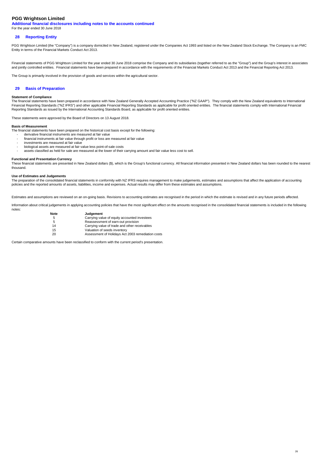**Additional financial disclosures including notes to the accounts continued** For the year ended 30 June 2018

#### **28 Reporting Entity**

PGG Wrightson Limited (the "Company") is a company domiciled in New Zealand, registered under the Companies Act 1993 and listed on the New Zealand Stock Exchange. The Company is an FMC<br>Entity in terms of the Financial Mark

Financial statements of PGG Wrightson Limited for the year ended 30 June 2018 comprise the Company and its subsidiaries (together referred to as the "Group") and the Group's interest in associates and jointly controlled entities. Financial statements have been prepared in accordance with the requirements of the Financial Markets Conduct Act 2013 and the Financial Reporting Act 2013.

The Group is primarily involved in the provision of goods and services within the agricultural sector.

#### **29 Basis of Preparation**

#### **Statement of Compliance**

The financial statements have been prepared in accordance with New Zealand Generally Accepted Accounting Practice ("NZ GAAP"). They comply with the New Zealand equivalents to International Financial Reporting Standards ("NZ IFRS") and other applicable Financial Reporting Standards as applicable for profit oriented entities. The financial statements comply with International Financial Reporting Standards as issued by the International Accounting Standards Board, as applicable for profit oriented entities.

These statements were approved by the Board of Directors on 13 August 2018.

#### **Basis of Measurement**

-

The financial statements have been prepared on the historical cost basis except for the following:

- derivative financial instruments are measured at fair value financial instruments at fair value through profit or loss are measured at fair value
- investments are measured at fair value
- biological assets are measured at fair value less point-of-sale costs
- assets classified as held for sale are measured at the lower of their carrying amount and fair value less cost to sell.

#### **Functional and Presentation Currency**

These financial statements are presented in New Zealand dollars (\$), which is the Group's functional currency. All financial information presented in New Zealand dollars has been rounded to the nearest thousand.

#### **Use of Estimates and Judgements**

The preparation of the consolidated financial statements in conformity with NZ IFRS requires management to make judgements, estimates and assumptions that affect the application of accounting policies and the reported amounts of assets, liabilities, income and expenses. Actual results may differ from these estimates and assumptions.

Estimates and assumptions are reviewed on an on-going basis. Revisions to accounting estimates are recognised in the period in which the estimate is revised and in any future periods affected.

Information about critical judgements in applying accounting policies that have the most significant effect on the amounts recognised in the consolidated financial statements is included in the following notes:

| Note | <b>Judgement</b>                                  |
|------|---------------------------------------------------|
| 5    | Carrying value of equity accounted investees      |
| 5    | Reassessment of earn-out provision                |
| 14   | Carrying value of trade and other receivables     |
| 15   | Valuation of seeds inventory                      |
| 20   | Assessment of Holidays Act 2003 remediation costs |

Certain comparative amounts have been reclassified to conform with the current period's presentation.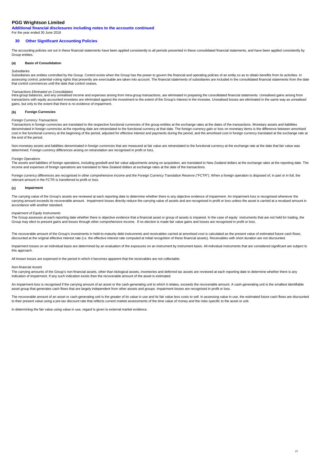**Additional financial disclosures including notes to the accounts continued** For the year ended 30 June 2018

#### **30 Other Significant Accounting Policies**

The accounting policies set out in these financial statements have been applied consistently to all periods presented in these consolidated financial statements, and have been applied consistently by Group entities.

#### **(a) Basis of Consolidation**

#### **Subsidiaries**

Subsidiaries are entities controlled by the Group. Control exists when the Group has the power to govern the financial and operating policies of an entity so as to obtain benefits from its activities. In assessing control, potential voting rights that presently are exercisable are taken into account. The financial statements of subsidiaries are included in the consolidated financial statements from the date that control commences until the date that control ceases.

*Transactions Eliminated on Consolidation*<br>Intra-group balances, and any unrealised income and expenses arising from intra-group transactions, are eliminated in preparing the consolidated financial statements. Unrealised g transactions with equity accounted investees are eliminated against the investment to the extent of the Group's interest in the investee. Unrealised losses are eliminated in the same way as unrealised gains, but only to the extent that there is no evidence of impairment.

#### **(b) Foreign Currencies**

#### Foreign Currency Transactions

Transactions in foreign currencies are translated to the respective functional currencies of the group entities at the exchange rates at the dates of the transactions. Monetary assets and liabilities denominated in foreign currencies at the reporting date are retranslated to the functional currency at that date. The foreign currency gain or loss on monetary items is the difference between amortised<br>cost in the function the end of the period.

Non-monetary assets and liabilities denominated in foreign currencies that are measured at fair value are retranslated to the functional currency at the exchange rate at the date that fair value was determined. Foreign currency differences arising on retranslation are recognised in profit or loss.

Foreign Operations<br>The assets and liabilities of foreign operations, including goodwill and fair value adjustments arising on acquisition, are translated to New Zealand dollars at the exchange rates at the reporting date. income and expenses of foreign operations are translated to New Zealand dollars at exchange rates at the date of the transactions.

Foreign currency differences are recognised in other comprehensive income and the Foreign Currency Translation Reserve ("FCTR"). When a foreign operation is disposed of, in part or in full, the relevant amount in the FCTR is transferred to profit or loss.

#### **(c) Impairment**

The carrying value of the Group's assets are reviewed at each reporting date to determine whether there is any objective evidence of impairment. An impairment loss is recognised whenever the carrying amount exceeds its recoverable amount. Impairment losses directly reduce the carrying value of assets and are recognised in profit or loss unless the asset is carried at a revalued amount in accordance with another standard.

#### Impairment of Equity Instruments

The Group assesses at each reporting date whether there is objective evidence that a financial asset or group of assets is impaired. In the case of equity instruments that are not held for trading, the Group may elect to present gains and losses through other comprehensive income. If no election is made fair value gains and losses are recognised in profit or loss.

The recoverable amount of the Group's investments in held-to-maturity debt instruments and receivables carried at amortised cost is calculated as the present value of estimated future cash flows, discounted at the original effective interest rate (i.e. the effective interest rate computed at initial recognition of these financial assets). Receivables with short duration are not discounted.

Impairment losses on an individual basis are determined by an evaluation of the exposures on an instrument by instrument basis. All individual instruments that are considered significant are subject to this approach.

All known losses are expensed in the period in which it becomes apparent that the receivables are not collectable.

#### Non-financial Assets

The carrying amounts of the Group's non-financial assets, other than biological assets, inventories and deferred tax assets are reviewed at each reporting date to determine whether there is any indication of impairment. If any such indication exists then the recoverable amount of the asset is estimated.

An impairment loss is recognised if the carrying amount of an asset or the cash-generating unit to which it relates, exceeds the recoverable amount. A cash-generating unit is the smallest identifiable asset group that generates cash flows that are largely independent from other assets and groups. Impairment losses are recognised in profit or loss.

The recoverable amount of an asset or cash-generating unit is the greater of its value in use and its fair value less costs to sell. In assessing value in use, the estimated future cash flows are discounted to their present value using a pre-tax discount rate that reflects current market assessments of the time value of money and the risks specific to the asset or unit.

In determining the fair value using value in use, regard is given to external market evidence.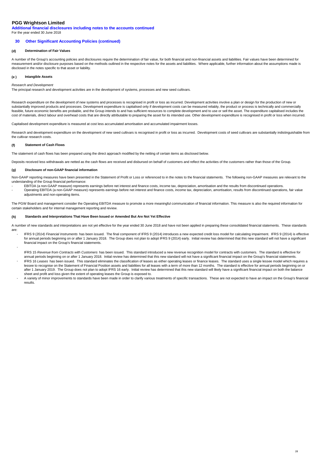**Additional financial disclosures including notes to the accounts continued** For the year ended 30 June 2018

#### **30 Other Significant Accounting Policies (continued)**

#### **(d) Determination of Fair Values**

A number of the Group's accounting policies and disclosures require the determination of fair value, for both financial and non-financial assets and liabilities. Fair values have been determined for measurement and/or disclosure purposes based on the methods outlined in the respective notes for the assets and liabilities. Where applicable, further information about the assumptions made is disclosed in the notes specific to that asset or liability.

#### **(e ) Intangible Assets**

#### Research and Development

The principal research and development activities are in the development of systems, processes and new seed cultivars.

Research expenditure on the development of new systems and processes is recognised in profit or loss as incurred. Development activities involve a plan or design for the production of new or substantially improved products and processes. Development expenditure is capitalised only if development costs can be measured reliably, the product or process is technically and commercially feasible, future economic benefits are probable, and the Group intends to and has sufficient resources to complete development and to use or sell the asset. The expenditure capitalised includes the cost of materials, direct labour and overhead costs that are directly attributable to preparing the asset for its intended use. Other development expenditure is recognised in profit or loss when incurred.

Capitalised development expenditure is measured at cost less accumulated amortisation and accumulated impairment losses.

Research and development expenditure on the development of new seed cultivars is recognised in profit or loss as incurred. Development costs of seed cultivars are substantially indistinguishable from the cultivar research costs.

#### **(f) Statement of Cash Flows**

-

The statement of cash flows has been prepared using the direct approach modified by the netting of certain items as disclosed below.

Deposits received less withdrawals are netted as the cash flows are received and disbursed on behalf of customers and reflect the activities of the customers rather than those of the Group.

#### **(g) Disclosure of non-GAAP financial information**

Non-GAAP reporting measures have been presented in the Statement of Profit or Loss or referenced to in the notes to the financial statements. The following non-GAAP measures are relevant to the understanding of the Group financial performance:

- - EBITDA (a non-GAAP measure) represents earnings before net interest and finance costs, income tax, depreciation, amortisation and the results from discontinued operations. Operating EBITDA (a non-GAAP measure) represents earnings before net interest and finance costs, income tax, depreciation, amortisation, results from discontinued operations, fair value adjustments and non-operating items.

The PGW Board and management consider the Operating EBITDA measure to promote a more meaningful communication of financial information. This measure is also the required information for certain stakeholders and for internal management reporting and review.

#### **(h) Standards and Interpretations That Have Been Issued or Amended But Are Not Yet Effective**

A number of new standards and interpretations are not yet effective for the year ended 30 June 2018 and have not been applied in preparing these consolidated financial statements. These standards are:

- IFRS 9 (2014) Financial Instruments has been issued. The final component of IFRS 9 (2014) introduces a new expected credit loss model for calculating impairment. IFRS 9 (2014) is effective for annual periods beginning on or after 1 January 2018. The Group does not plan to adopt IFRS 9 (2014) early. Initial review has determined that this new standard will not have a significant financial impact on the Group's financial statements.
- IFRS 15 Revenue from Contracts with Customers has been issued. This standard introduced a new revenue recognition model for contracts with customers. The standard is effective for annual periods beginning on or after 1 January 2018. Initial review has determined that this new standard will not have a significant financial impact on the Group's financial statements. IFRS 16 Leases has been issued. This standard eliminates the classification of leases as either operating leases or finance leases. The standard uses a single lessee model which requires a lessee to recognise on the Statement of Financial Position assets and liabilities for all leases with a term of more than 12 months. The standard is effective for annual periods beginning on or
- after 1 January 2019. The Group does not plan to adopt IFRS 16 early. Initial review has determined that this new standard will likely have a significant financial impact on both the balance sheet and profit and loss given the extent of operating leases the Group is exposed to.
- A variety of minor improvements to standards have been made in order to clarify various treatments of specific transactions. These are not expected to have an impact on the Group's financial results.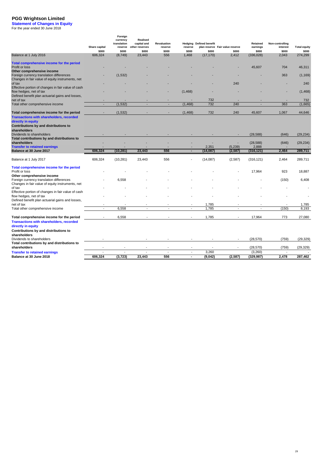**Statement of Changes in Equity**<br>For the year ended 30 June 2018

|                                                                                                                            | Share capital<br>\$000   | Foreign<br>currency<br>translation<br>reserve<br>\$000 | Realised<br>capital and<br>other reserves<br>\$000 | <b>Revaluation</b><br>reserve<br>\$000 | Hedging<br>reserve<br>\$000      | <b>Defined benefit</b><br>\$000 | plan reserve Fair value reserve<br>\$000 | Retained<br>earnings<br>\$000 | Non-controlling<br>interest<br>\$000 | <b>Total equity</b><br>\$000 |
|----------------------------------------------------------------------------------------------------------------------------|--------------------------|--------------------------------------------------------|----------------------------------------------------|----------------------------------------|----------------------------------|---------------------------------|------------------------------------------|-------------------------------|--------------------------------------|------------------------------|
| Balance at 1 July 2016                                                                                                     | 606,324                  | (8,749)                                                | 23,443                                             | 556                                    | 1,468                            | (17, 170)                       | 2,412                                    | (336, 028)                    | 2,043                                | 274,299                      |
| Total comprehensive income for the period<br>Profit or loss<br>Other comprehensive income                                  |                          |                                                        |                                                    |                                        |                                  |                                 |                                          | 45.607                        | 704                                  | 46,311                       |
| Foreign currency translation differences<br>Changes in fair value of equity instruments, net                               |                          | (1, 532)                                               |                                                    |                                        |                                  |                                 |                                          |                               | 363                                  | (1, 169)                     |
| of tax<br>Effective portion of changes in fair value of cash                                                               |                          |                                                        |                                                    |                                        |                                  |                                 | 240                                      |                               |                                      | 240                          |
| flow hedges, net of tax<br>Defined benefit plan actuarial gains and losses,                                                |                          |                                                        |                                                    |                                        | (1, 468)                         |                                 |                                          |                               |                                      | (1,468)                      |
| net of tax                                                                                                                 |                          |                                                        |                                                    |                                        |                                  | 732                             |                                          |                               |                                      | 732                          |
| Total other comprehensive income                                                                                           | $\blacksquare$           | (1,532)                                                | $\overline{\phantom{a}}$                           | $\blacksquare$                         | (1, 468)                         | 732                             | 240                                      | $\overline{\phantom{a}}$      | 363                                  | (1,665)                      |
| Total comprehensive income for the period                                                                                  |                          | (1, 532)                                               |                                                    |                                        | (1, 468)                         | 732                             | 240                                      | 45,607                        | 1,067                                | 44,646                       |
| <b>Transactions with shareholders, recorded</b><br>directly in equity                                                      |                          |                                                        |                                                    |                                        |                                  |                                 |                                          |                               |                                      |                              |
| Contributions by and distributions to<br>shareholders<br>Dividends to shareholders                                         |                          |                                                        |                                                    |                                        |                                  |                                 |                                          | (28, 588)                     | (646)                                | (29, 234)                    |
| Total contributions by and distributions to<br>shareholders                                                                |                          |                                                        |                                                    |                                        |                                  | 2,351                           | (5,239)                                  | (28, 588)<br>2,888            | (646)                                | (29, 234)                    |
| <b>Transfer to retained earnings</b><br>Balance at 30 June 2017                                                            | 606,324                  | (10, 281)                                              | 23,443                                             | 556                                    | ÷                                | (14, 087)                       | (2, 587)                                 | (316, 121)                    | 2,464                                | 289,711                      |
| Balance at 1 July 2017                                                                                                     | 606,324                  | (10, 281)                                              | 23,443                                             | 556                                    |                                  | (14,087)                        | (2,587)                                  | (316, 121)                    | 2,464                                | 289.711                      |
| Total comprehensive income for the period<br>Profit or loss                                                                |                          |                                                        |                                                    |                                        |                                  |                                 |                                          | 17.964                        | 923                                  | 18.887                       |
| Other comprehensive income<br>Foreign currency translation differences<br>Changes in fair value of equity instruments, net |                          | 6,558                                                  |                                                    |                                        |                                  |                                 |                                          |                               | (150)                                | 6,408                        |
| of tax<br>Effective portion of changes in fair value of cash                                                               |                          |                                                        |                                                    |                                        |                                  |                                 |                                          |                               |                                      |                              |
| flow hedges, net of tax<br>Defined benefit plan actuarial gains and losses,                                                |                          |                                                        |                                                    |                                        |                                  |                                 |                                          |                               |                                      |                              |
| net of tax                                                                                                                 |                          |                                                        |                                                    |                                        |                                  | 1,785                           |                                          |                               |                                      | 1,785                        |
| Total other comprehensive income                                                                                           | $\overline{\phantom{a}}$ | 6.558                                                  | $\overline{\phantom{a}}$                           | $\overline{\phantom{a}}$               | $\overline{\phantom{a}}$         | 1.785                           | $\overline{\phantom{a}}$                 | $\overline{\phantom{a}}$      | (150)                                | 8.193                        |
| Total comprehensive income for the period                                                                                  |                          | 6,558                                                  |                                                    |                                        |                                  | 1,785                           |                                          | 17,964                        | 773                                  | 27,080                       |
| Transactions with shareholders, recorded<br>directly in equity<br>Contributions by and distributions to<br>shareholders    |                          |                                                        |                                                    |                                        |                                  |                                 |                                          |                               |                                      |                              |
| Dividends to shareholders<br>Total contributions by and distributions to                                                   |                          |                                                        |                                                    |                                        |                                  |                                 |                                          | (28, 570)                     | (759)                                | (29, 329)                    |
| shareholders                                                                                                               |                          |                                                        |                                                    |                                        |                                  |                                 | $\overline{\phantom{a}}$                 | (28, 570)                     | (759)                                | (29, 329)                    |
|                                                                                                                            |                          |                                                        |                                                    |                                        |                                  |                                 |                                          |                               |                                      |                              |
| <b>Transfer to retained earnings</b><br>Balance at 30 June 2018                                                            | 606,324                  | (3, 723)                                               | 23,443                                             | 556                                    | $\overline{a}$<br>$\blacksquare$ | 3,260<br>(9,042)                | (2,587)                                  | (3,260)<br>(329, 987)         | 2,478                                | 287,462                      |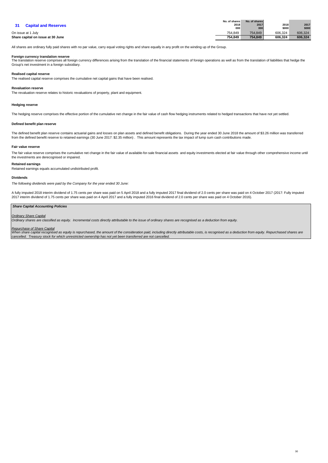|                                   | No. of shares | No. of shares |         |         |
|-----------------------------------|---------------|---------------|---------|---------|
| <b>Capital and Reserves</b>       | 2018          | 2017          | 2018    | 2017    |
|                                   | 000           | 000           | \$000   | \$000   |
| On issue at 1 July                | 754.849       | 754.849       | 606.324 | 606,324 |
| Share capital on issue at 30 June | 754.849       | 754.849       | 606.324 | 606.324 |

All shares are ordinary fully paid shares with no par value, carry equal voting rights and share equally in any profit on the winding up of the Group.

Foreign currency translation reserve<br>The translation reserve comprises all foreign currency differences arising from the translation of the financial statements of foreign operations as well as from the translation of liab Group's net investment in a foreign subsidiary.

#### **Realised capital reserve**

The realised capital reserve comprises the cumulative net capital gains that have been realised.

#### **Revaluation reserve**

The revaluation reserve relates to historic revaluations of property, plant and equipment.

#### **Hedging reserve**

The hedging reserve comprises the effective portion of the cumulative net change in the fair value of cash flow hedging instruments related to hedged transactions that have not yet settled.

#### **Defined benefit plan reserve**

The defined benefit plan reserve contains actuarial gains and losses on plan assets and defined benefit obligations. During the year ended 30 June 2018 the amount of \$3.26 million was transferred from the defined benefit reserve to retained earnings (30 June 2017: \$2.35 million) . This amount represents the tax impact of lump sum cash contributions made.

#### **Fair value reserve**

The fair value reserve comprises the cumulative net change in the fair value of available-for-sale financial assets and equity investments elected at fair value through other comprehensive income until the investments are derecognised or impaired.

#### **Retained earnings**

Retained earnings equals accumulated undistributed profit.

#### **Dividends**

The following dividends were paid by the Company for the year ended 30 June:

A fully imputed 2018 interim dividend of 1.75 cents per share was paid on 5 April 2018 and a fully imputed 2017 final dividend of 2.0 cents per share was paid on 4 October 2017 (2017: Fully imputed 2017 interim dividend of 1.75 cents per share was paid on 4 April 2017 and a fully imputed 2016 final dividend of 2.0 cents per share was paid on 4 October 2016).

#### **Share Capital Accounting Policies**

#### **Ordinary Share Capital**

Ordinary shares are classified as equity. Incremental costs directly attributable to the issue of ordinary shares are recognised as a deduction from equity.

Repurchase of Share Capital<br>When share capital recognised as equity is repurchased, the amount of the consideration paid, including directly attributable costs, is recognised as a deduction from equity. Repurchased shares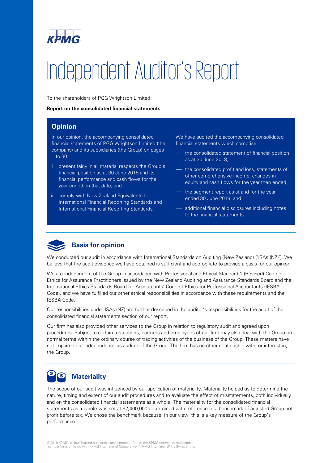

# Independent Auditor's Report

To the shareholders of PGG Wrightson Limited

## **Report on the consolidated financial statements**

## **Opinion**

In our opinion, the accompanying consolidated financial statements of PGG Wrightson Limited (the company) and its subsidiaries (the Group) on pages 1 to 30:

- i. present fairly in all material respects the Group's financial position as at 30 June 2018 and its financial performance and cash flows for the year ended on that date; and
- ii. comply with New Zealand Equivalents to International Financial Reporting Standards and International Financial Reporting Standards.

We have audited the accompanying consolidated financial statements which comprise:

- the consolidated statement of financial position as at 30 June 2018;
- the consolidated profit and loss, statements of other comprehensive income, changes in equity and cash flows for the year then ended;
- the segment report as at and for the year ended 30 June 2018; and
- additional financial disclosures including notes to the financial statements.



We conducted our audit in accordance with International Standards on Auditing (New Zealand) ('ISAs (NZ)'). We believe that the audit evidence we have obtained is sufficient and appropriate to provide a basis for our opinion.

We are independent of the Group in accordance with Professional and Ethical Standard 1 (Revised) Code of Ethics for Assurance Practitioners issued by the New Zealand Auditing and Assurance Standards Board and the International Ethics Standards Board for Accountants' Code of Ethics for Professional Accountants (IESBA Code), and we have fulfilled our other ethical responsibilities in accordance with these requirements and the IESBA Code.

Our responsibilities under ISAs (NZ) are further described in the auditor's responsibilities for the audit of the consolidated financial statements section of our report.

Our firm has also provided other services to the Group in relation to regulatory audit and agreed upon procedures. Subject to certain restrictions, partners and employees of our firm may also deal with the Group on normal terms within the ordinary course of trading activities of the business of the Group. These matters have not impaired our independence as auditor of the Group. The firm has no other relationship with, or interest in, the Group.

## S **Materiality**

The scope of our audit was influenced by our application of materiality. Materiality helped us to determine the nature, timing and extent of our audit procedures and to evaluate the effect of misstatements, both individually and on the consolidated financial statements as a whole. The materiality for the consolidated financial statements as a whole was set at \$2,400,000 determined with reference to a benchmark of adjusted Group net profit before tax. We chose the benchmark because, in our view, this is a key measure of the Group's performance.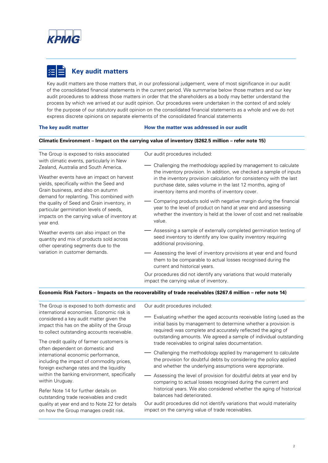

# **Key audit matters**

Key audit matters are those matters that, in our professional judgement, were of most significance in our audit of the consolidated financial statements in the current period. We summarise below those matters and our key audit procedures to address those matters in order that the shareholders as a body may better understand the process by which we arrived at our audit opinion. Our procedures were undertaken in the context of and solely for the purpose of our statutory audit opinion on the consolidated financial statements as a whole and we do not express discrete opinions on separate elements of the consolidated financial statements

## **The key audit matter How the matter was addressed in our audit**

## **Climatic Environment – Impact on the carrying value of inventory (\$262.5 million – refer note 15)**

The Group is exposed to risks associated with climatic events, particularly in New Zealand, Australia and South America.

Weather events have an impact on harvest yields, specifically within the Seed and Grain business, and also on autumn demand for replanting. This combined with the quality of Seed and Grain inventory, in particular germination levels of seeds, impacts on the carrying value of inventory at year end.

Weather events can also impact on the quantity and mix of products sold across other operating segments due to the variation in customer demands.

Our audit procedures included:

- Challenging the methodology applied by management to calculate the inventory provision. In addition, we checked a sample of inputs in the inventory provision calculation for consistency with the last purchase date, sales volume in the last 12 months, aging of inventory items and months of inventory cover.
- Comparing products sold with negative margin during the financial year to the level of product on hand at year end and assessing whether the inventory is held at the lower of cost and net realisable value.
- Assessing a sample of externally completed germination testing of seed inventory to identify any low quality inventory requiring additional provisioning.
- Assessing the level of inventory provisions at year end and found them to be comparable to actual losses recognised during the current and historical years.

Our procedures did not identify any variations that would materially impact the carrying value of inventory.

## **Economic Risk Factors – Impacts on the recoverability of trade receivables (\$267.6 million – refer note 14)**

The Group is exposed to both domestic and international economies. Economic risk is considered a key audit matter given the impact this has on the ability of the Group to collect outstanding accounts receivable.

The credit quality of farmer customers is often dependent on domestic and international economic performance, including the impact of commodity prices, foreign exchange rates and the liquidity within the banking environment, specifically within Uruguay.

Refer Note 14 for further details on outstanding trade receivables and credit quality at year end and to Note 22 for details on how the Group manages credit risk.

Our audit procedures included:

- Evaluating whether the aged accounts receivable listing (used as the initial basis by management to determine whether a provision is required) was complete and accurately reflected the aging of outstanding amounts. We agreed a sample of individual outstanding trade receivables to original sales documentation.
- Challenging the methodology applied by management to calculate the provision for doubtful debts by considering the policy applied and whether the underlying assumptions were appropriate.
- Assessing the level of provision for doubtful debts at year end by comparing to actual losses recognised during the current and historical years. We also considered whether the aging of historical balances had deteriorated.

Our audit procedures did not identify variations that would materiality impact on the carrying value of trade receivables.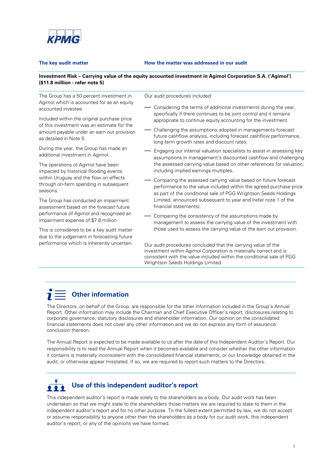

#### **The key audit matter How the matter was addressed in our audit**

## **Investment Risk – Carrying value of the equity accounted investment in Agimol Corporation S.A. ('Agimol') (\$11.8 million - refer note 5)**

The Group has a 50 percent investment in Agimol which is accounted for as an equity accounted investee.

Included within the original purchase price of this investment was an estimate for the amount payable under an earn out provision as detailed in Note 5.

During the year, the Group has made an additional investment in Agimol.

The operations of Agimol have been impacted by historical flooding events within Uruguay and the flow on effects through on-farm spending in subsequent seasons.

The Group has conducted an impairment assessment based on the forecast future performance of Agimol and recognised an impairment expense of \$7.8 million.

This is considered to be a key audit matter due to the judgement in forecasting future performance which is inherently uncertain. Our audit procedures included:

- Considering the terms of additional investments during the year, specifically if there continues to be joint control and it remains appropriate to continue equity accounting for the investment.
- Challenging the assumptions adopted in managements forecast future cashflow analysis, including forecast cashflow performance, long term growth rates and discount rates.
- Engaging our internal valuation specialists to assist in assessing key assumptions in management's discounted cashflow and challenging the assessed carrying value based on other references for valuation, including implied earnings multiples.
- Comparing the assessed carrying value based on future forecast performance to the value included within the agreed purchase price as part of the conditional sale of PGG Wrightson Seeds Holdings Limited, announced subsequent to year end (refer note 1 of the financial statements).
- Comparing the consistency of the assumptions made by management to assess the carrying value of the investment with those used to assess the carrying value of the earn out provision.

Our audit procedures concluded that the carrying value of the investment within Agimol Corporation is materially correct and is consistent with the value included within the conditional sale of PGG Wrightson Seeds Holdings Limited.

# **Other information**

The Directors, on behalf of the Group, are responsible for the other information included in the Group's Annual Report. Other information may include the Chairman and Chief Executive Officer's report, disclosures relating to corporate governance, statutory disclosures and shareholder information. Our opinion on the consolidated financial statements does not cover any other information and we do not express any form of assurance conclusion thereon.

The Annual Report is expected to be made available to us after the date of this Independent Auditor's Report. Our responsibility is to read the Annual Report when it becomes available and consider whether the other information it contains is materially inconsistent with the consolidated financial statements, or our knowledge obtained in the audit, or otherwise appear misstated. If so, we are required to report such matters to the Directors.

# **Use of this independent auditor's report**

This independent auditor's report is made solely to the shareholders as a body. Our audit work has been undertaken so that we might state to the shareholders those matters we are required to state to them in the independent auditor's report and for no other purpose. To the fullest extent permitted by law, we do not accept or assume responsibility to anyone other than the shareholders as a body for our audit work, this independent auditor's report, or any of the opinions we have formed.